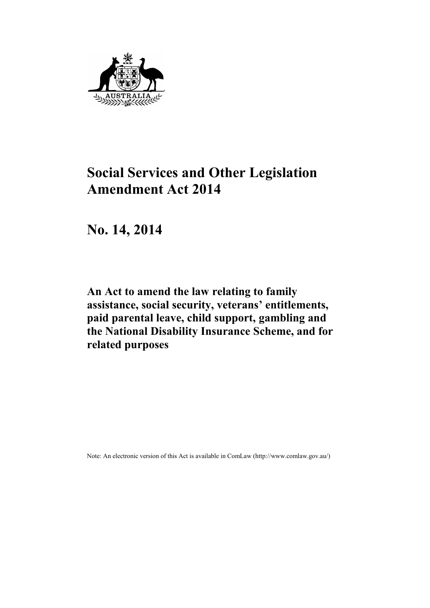

# **Social Services and Other Legislation Amendment Act 2014**

**No. 14, 2014**

**An Act to amend the law relating to family assistance, social security, veterans' entitlements, paid parental leave, child support, gambling and the National Disability Insurance Scheme, and for related purposes**

Note: An electronic version of this Act is available in ComLaw (http://www.comlaw.gov.au/)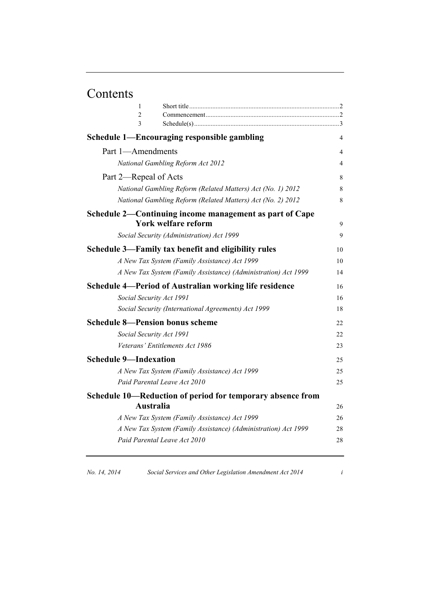# Contents

| 1                                                           |                                                                |    |
|-------------------------------------------------------------|----------------------------------------------------------------|----|
| $\overline{c}$                                              |                                                                |    |
| 3                                                           |                                                                |    |
|                                                             | Schedule 1—Encouraging responsible gambling                    | 4  |
| Part 1-Amendments                                           |                                                                | 4  |
| National Gambling Reform Act 2012                           |                                                                | 4  |
| Part 2—Repeal of Acts                                       |                                                                | 8  |
| National Gambling Reform (Related Matters) Act (No. 1) 2012 |                                                                | 8  |
|                                                             | National Gambling Reform (Related Matters) Act (No. 2) 2012    | 8  |
|                                                             | Schedule 2-Continuing income management as part of Cape        |    |
|                                                             | York welfare reform                                            | 9  |
|                                                             | Social Security (Administration) Act 1999                      | 9  |
|                                                             | Schedule 3—Family tax benefit and eligibility rules            | 10 |
|                                                             | A New Tax System (Family Assistance) Act 1999                  | 10 |
|                                                             | A New Tax System (Family Assistance) (Administration) Act 1999 | 14 |
|                                                             | Schedule 4—Period of Australian working life residence         | 16 |
| Social Security Act 1991                                    |                                                                | 16 |
|                                                             | Social Security (International Agreements) Act 1999            | 18 |
| <b>Schedule 8-Pension bonus scheme</b>                      |                                                                | 22 |
| Social Security Act 1991                                    |                                                                | 22 |
|                                                             | Veterans' Entitlements Act 1986                                | 23 |
| <b>Schedule 9-Indexation</b>                                |                                                                | 25 |
|                                                             | A New Tax System (Family Assistance) Act 1999                  | 25 |
| Paid Parental Leave Act 2010                                |                                                                | 25 |
|                                                             | Schedule 10—Reduction of period for temporary absence from     |    |
| Australia                                                   |                                                                | 26 |
|                                                             | A New Tax System (Family Assistance) Act 1999                  | 26 |
|                                                             | A New Tax System (Family Assistance) (Administration) Act 1999 | 28 |
| Paid Parental Leave Act 2010                                |                                                                | 28 |
|                                                             |                                                                |    |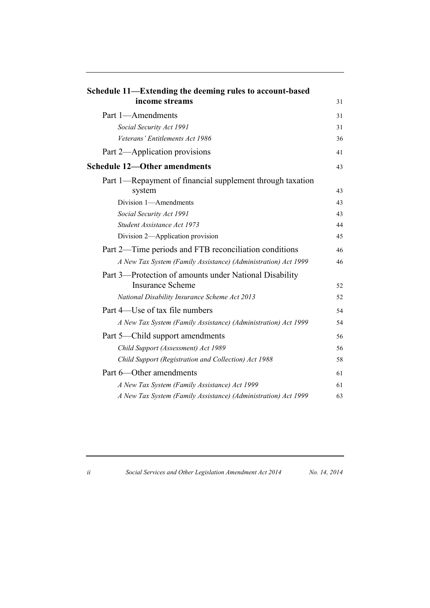| Schedule 11—Extending the deeming rules to account-based<br>income streams        | 31 |
|-----------------------------------------------------------------------------------|----|
|                                                                                   |    |
| Part 1-Amendments                                                                 |    |
| Social Security Act 1991                                                          | 31 |
| Veterans' Entitlements Act 1986                                                   | 36 |
| Part 2—Application provisions                                                     | 41 |
| <b>Schedule 12-Other amendments</b>                                               | 43 |
| Part 1—Repayment of financial supplement through taxation                         |    |
| system                                                                            | 43 |
| Division 1-Amendments                                                             | 43 |
| Social Security Act 1991                                                          | 43 |
| Student Assistance Act 1973                                                       | 44 |
| Division 2-Application provision                                                  | 45 |
| Part 2—Time periods and FTB reconciliation conditions                             | 46 |
| A New Tax System (Family Assistance) (Administration) Act 1999                    | 46 |
| Part 3-Protection of amounts under National Disability<br><b>Insurance Scheme</b> | 52 |
| National Disability Insurance Scheme Act 2013                                     | 52 |
| Part 4—Use of tax file numbers                                                    | 54 |
| A New Tax System (Family Assistance) (Administration) Act 1999                    | 54 |
| Part 5—Child support amendments                                                   | 56 |
| Child Support (Assessment) Act 1989                                               | 56 |
| Child Support (Registration and Collection) Act 1988                              | 58 |
| Part 6-Other amendments                                                           | 61 |
| A New Tax System (Family Assistance) Act 1999                                     | 61 |
| A New Tax System (Family Assistance) (Administration) Act 1999                    | 63 |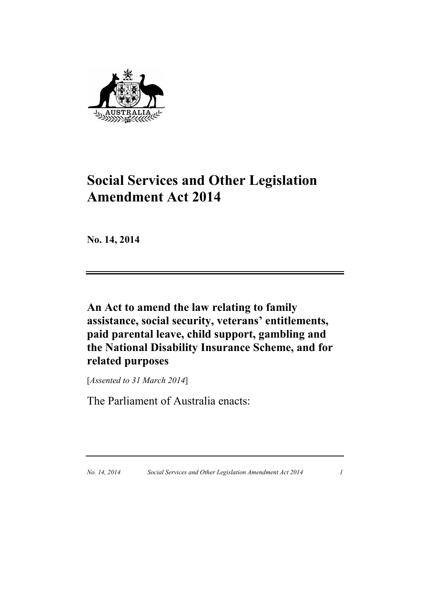

# **Social Services and Other Legislation Amendment Act 2014**

**No. 14, 2014**

**An Act to amend the law relating to family assistance, social security, veterans' entitlements, paid parental leave, child support, gambling and the National Disability Insurance Scheme, and for related purposes**

[*Assented to 31 March 2014*]

The Parliament of Australia enacts: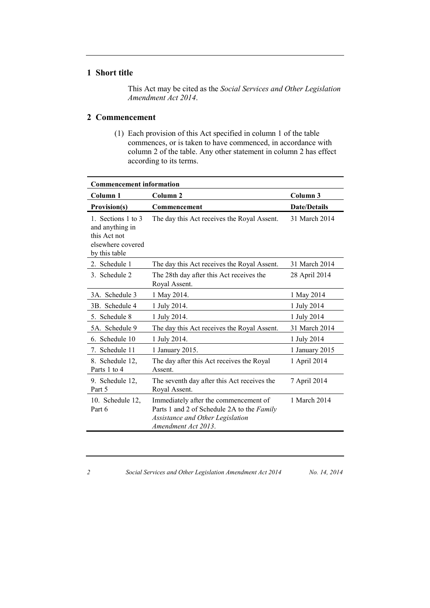### **1 Short title**

This Act may be cited as the *Social Services and Other Legislation Amendment Act 2014*.

### **2 Commencement**

(1) Each provision of this Act specified in column 1 of the table commences, or is taken to have commenced, in accordance with column 2 of the table. Any other statement in column 2 has effect according to its terms.

| <b>Commencement information</b>                                                             |                                                                                                                                                |                     |  |  |
|---------------------------------------------------------------------------------------------|------------------------------------------------------------------------------------------------------------------------------------------------|---------------------|--|--|
| Column 1                                                                                    | Column 2                                                                                                                                       | Column <sub>3</sub> |  |  |
| Provision(s)                                                                                | Commencement                                                                                                                                   | <b>Date/Details</b> |  |  |
| 1. Sections 1 to 3<br>and anything in<br>this Act not<br>elsewhere covered<br>by this table | The day this Act receives the Royal Assent.                                                                                                    | 31 March 2014       |  |  |
| Schedule 1<br>2.                                                                            | The day this Act receives the Royal Assent.                                                                                                    | 31 March 2014       |  |  |
| 3. Schedule 2                                                                               | The 28th day after this Act receives the<br>Royal Assent.                                                                                      | 28 April 2014       |  |  |
| 3A. Schedule 3                                                                              | 1 May 2014.                                                                                                                                    | 1 May 2014          |  |  |
| 3B. Schedule 4                                                                              | 1 July 2014.                                                                                                                                   | 1 July 2014         |  |  |
| 5. Schedule 8                                                                               | 1 July 2014.                                                                                                                                   | 1 July 2014         |  |  |
| 5A. Schedule 9                                                                              | The day this Act receives the Royal Assent.                                                                                                    | 31 March 2014       |  |  |
| 6. Schedule 10                                                                              | 1 July 2014.                                                                                                                                   | 1 July 2014         |  |  |
| 7. Schedule 11                                                                              | 1 January 2015.                                                                                                                                | 1 January 2015      |  |  |
| 8. Schedule 12,<br>Parts 1 to 4                                                             | The day after this Act receives the Royal<br>Assent.                                                                                           | 1 April 2014        |  |  |
| 9. Schedule 12,<br>Part 5                                                                   | The seventh day after this Act receives the<br>Royal Assent.                                                                                   | 7 April 2014        |  |  |
| 10. Schedule 12,<br>Part 6                                                                  | Immediately after the commencement of<br>Parts 1 and 2 of Schedule 2A to the Family<br>Assistance and Other Legislation<br>Amendment Act 2013. | 1 March 2014        |  |  |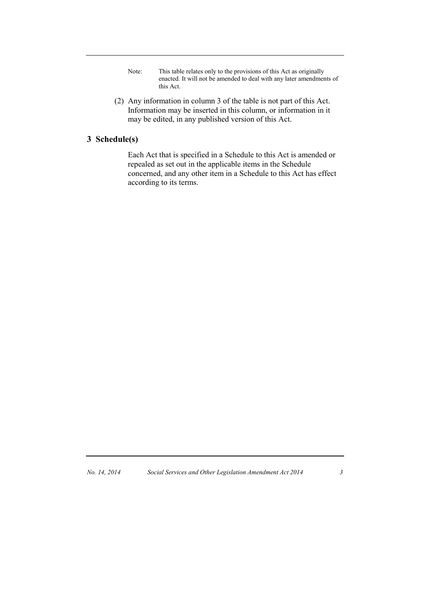- Note: This table relates only to the provisions of this Act as originally enacted. It will not be amended to deal with any later amendments of this Act.
- (2) Any information in column 3 of the table is not part of this Act. Information may be inserted in this column, or information in it may be edited, in any published version of this Act.

### **3 Schedule(s)**

Each Act that is specified in a Schedule to this Act is amended or repealed as set out in the applicable items in the Schedule concerned, and any other item in a Schedule to this Act has effect according to its terms.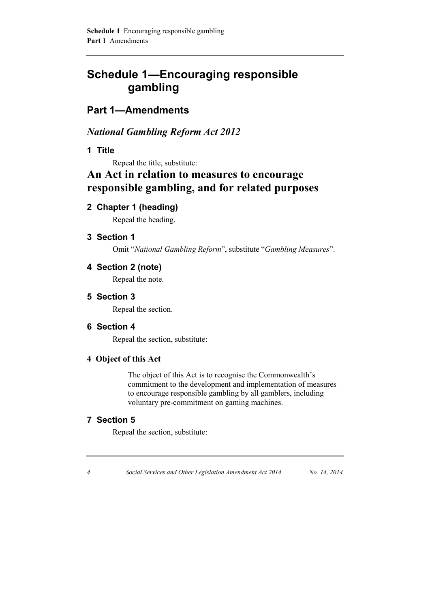## **Schedule 1—Encouraging responsible gambling**

## **Part 1—Amendments**

## *National Gambling Reform Act 2012*

**1 Title**

Repeal the title, substitute:

## **An Act in relation to measures to encourage responsible gambling, and for related purposes**

**2 Chapter 1 (heading)**

Repeal the heading.

**3 Section 1**

Omit "*National Gambling Reform*", substitute "*Gambling Measures*".

**4 Section 2 (note)**

Repeal the note.

**5 Section 3**

Repeal the section.

### **6 Section 4**

Repeal the section, substitute:

### **4 Object of this Act**

The object of this Act is to recognise the Commonwealth's commitment to the development and implementation of measures to encourage responsible gambling by all gamblers, including voluntary pre-commitment on gaming machines.

### **7 Section 5**

Repeal the section, substitute: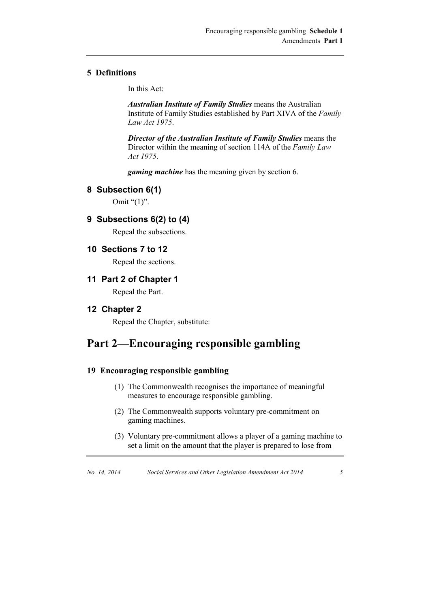#### **5 Definitions**

In this Act:

*Australian Institute of Family Studies* means the Australian Institute of Family Studies established by Part XIVA of the *Family Law Act 1975*.

*Director of the Australian Institute of Family Studies* means the Director within the meaning of section 114A of the *Family Law Act 1975*.

*gaming machine* has the meaning given by section 6.

#### **8 Subsection 6(1)**

Omit " $(1)$ ".

### **9 Subsections 6(2) to (4)**

Repeal the subsections.

#### **10 Sections 7 to 12**

Repeal the sections.

#### **11 Part 2 of Chapter 1**

Repeal the Part.

#### **12 Chapter 2**

Repeal the Chapter, substitute:

## **Part 2—Encouraging responsible gambling**

#### **19 Encouraging responsible gambling**

- (1) The Commonwealth recognises the importance of meaningful measures to encourage responsible gambling.
- (2) The Commonwealth supports voluntary pre-commitment on gaming machines.
- (3) Voluntary pre-commitment allows a player of a gaming machine to set a limit on the amount that the player is prepared to lose from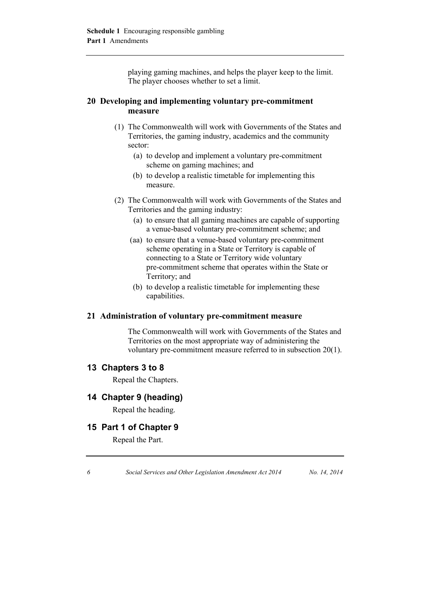playing gaming machines, and helps the player keep to the limit. The player chooses whether to set a limit.

#### **20 Developing and implementing voluntary pre-commitment measure**

- (1) The Commonwealth will work with Governments of the States and Territories, the gaming industry, academics and the community sector:
	- (a) to develop and implement a voluntary pre-commitment scheme on gaming machines; and
	- (b) to develop a realistic timetable for implementing this measure.
- (2) The Commonwealth will work with Governments of the States and Territories and the gaming industry:
	- (a) to ensure that all gaming machines are capable of supporting a venue-based voluntary pre-commitment scheme; and
	- (aa) to ensure that a venue-based voluntary pre-commitment scheme operating in a State or Territory is capable of connecting to a State or Territory wide voluntary pre-commitment scheme that operates within the State or Territory; and
	- (b) to develop a realistic timetable for implementing these capabilities.

#### **21 Administration of voluntary pre-commitment measure**

The Commonwealth will work with Governments of the States and Territories on the most appropriate way of administering the voluntary pre-commitment measure referred to in subsection 20(1).

#### **13 Chapters 3 to 8**

Repeal the Chapters.

#### **14 Chapter 9 (heading)**

Repeal the heading.

#### **15 Part 1 of Chapter 9**

Repeal the Part.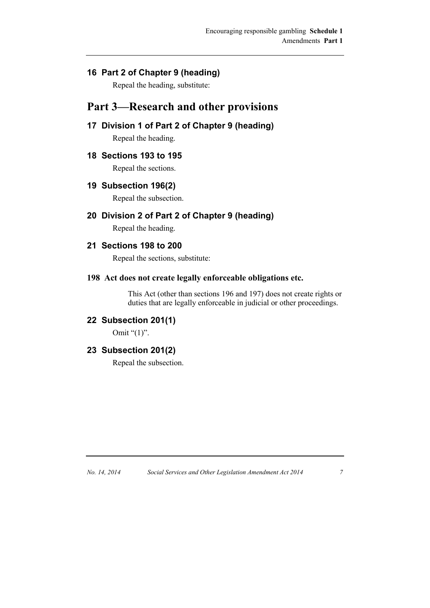### **16 Part 2 of Chapter 9 (heading)**

Repeal the heading, substitute:

## **Part 3—Research and other provisions**

### **17 Division 1 of Part 2 of Chapter 9 (heading)**

Repeal the heading.

### **18 Sections 193 to 195**

Repeal the sections.

### **19 Subsection 196(2)**

Repeal the subsection.

### **20 Division 2 of Part 2 of Chapter 9 (heading)**

Repeal the heading.

### **21 Sections 198 to 200**

Repeal the sections, substitute:

#### **198 Act does not create legally enforceable obligations etc.**

This Act (other than sections 196 and 197) does not create rights or duties that are legally enforceable in judicial or other proceedings.

### **22 Subsection 201(1)**

Omit "(1)".

#### **23 Subsection 201(2)**

Repeal the subsection.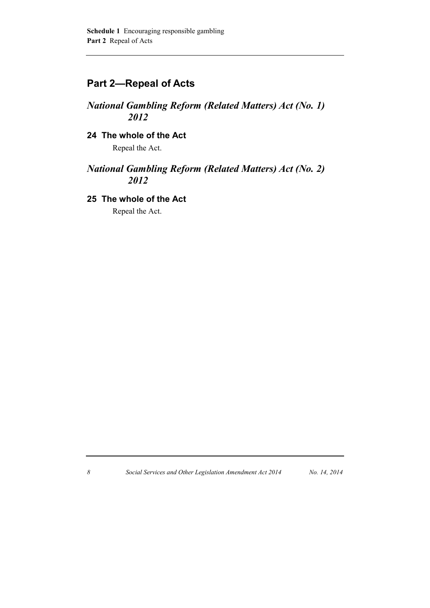## **Part 2—Repeal of Acts**

### *National Gambling Reform (Related Matters) Act (No. 1) 2012*

### **24 The whole of the Act**

Repeal the Act.

### *National Gambling Reform (Related Matters) Act (No. 2) 2012*

### **25 The whole of the Act**

Repeal the Act.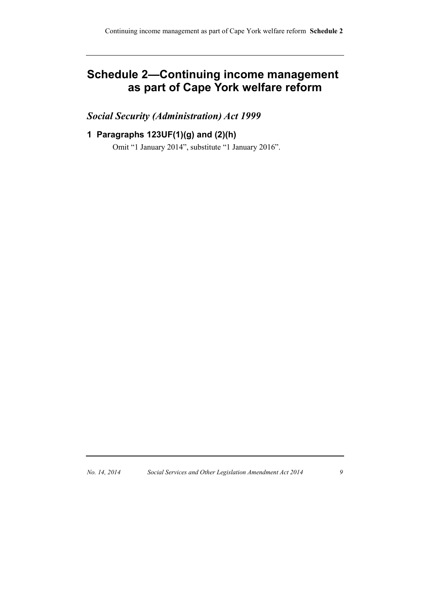## **Schedule 2—Continuing income management as part of Cape York welfare reform**

## *Social Security (Administration) Act 1999*

### **1 Paragraphs 123UF(1)(g) and (2)(h)**

Omit "1 January 2014", substitute "1 January 2016".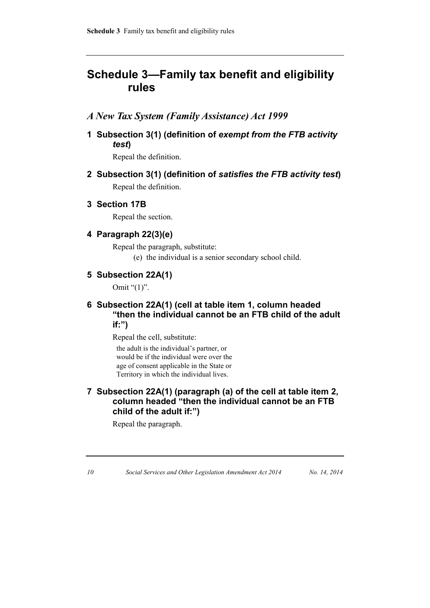## **Schedule 3—Family tax benefit and eligibility rules**

### *A New Tax System (Family Assistance) Act 1999*

**1 Subsection 3(1) (definition of** *exempt from the FTB activity test***)**

Repeal the definition.

**2 Subsection 3(1) (definition of** *satisfies the FTB activity test***)** Repeal the definition.

#### **3 Section 17B**

Repeal the section.

### **4 Paragraph 22(3)(e)**

Repeal the paragraph, substitute:

(e) the individual is a senior secondary school child.

### **5 Subsection 22A(1)**

Omit " $(1)$ ".

### **6 Subsection 22A(1) (cell at table item 1, column headed "then the individual cannot be an FTB child of the adult if:")**

Repeal the cell, substitute:

the adult is the individual's partner, or would be if the individual were over the age of consent applicable in the State or Territory in which the individual lives.

### **7 Subsection 22A(1) (paragraph (a) of the cell at table item 2, column headed "then the individual cannot be an FTB child of the adult if:")**

Repeal the paragraph.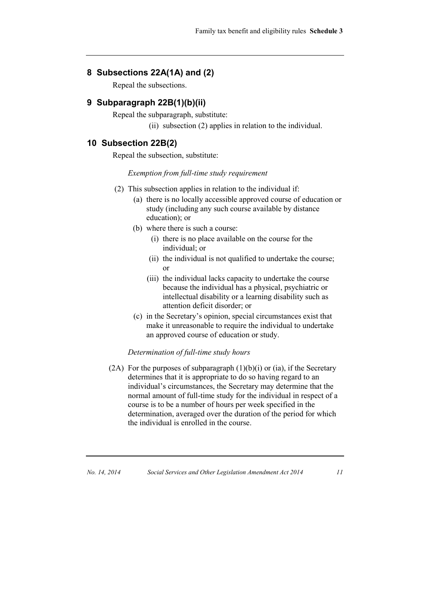#### **8 Subsections 22A(1A) and (2)**

Repeal the subsections.

#### **9 Subparagraph 22B(1)(b)(ii)**

Repeal the subparagraph, substitute:

(ii) subsection (2) applies in relation to the individual.

#### **10 Subsection 22B(2)**

Repeal the subsection, substitute:

#### *Exemption from full-time study requirement*

- (2) This subsection applies in relation to the individual if:
	- (a) there is no locally accessible approved course of education or study (including any such course available by distance education); or
	- (b) where there is such a course:
		- (i) there is no place available on the course for the individual; or
		- (ii) the individual is not qualified to undertake the course; or
		- (iii) the individual lacks capacity to undertake the course because the individual has a physical, psychiatric or intellectual disability or a learning disability such as attention deficit disorder; or
	- (c) in the Secretary's opinion, special circumstances exist that make it unreasonable to require the individual to undertake an approved course of education or study.

#### *Determination of full-time study hours*

(2A) For the purposes of subparagraph  $(1)(b)(i)$  or (ia), if the Secretary determines that it is appropriate to do so having regard to an individual's circumstances, the Secretary may determine that the normal amount of full-time study for the individual in respect of a course is to be a number of hours per week specified in the determination, averaged over the duration of the period for which the individual is enrolled in the course.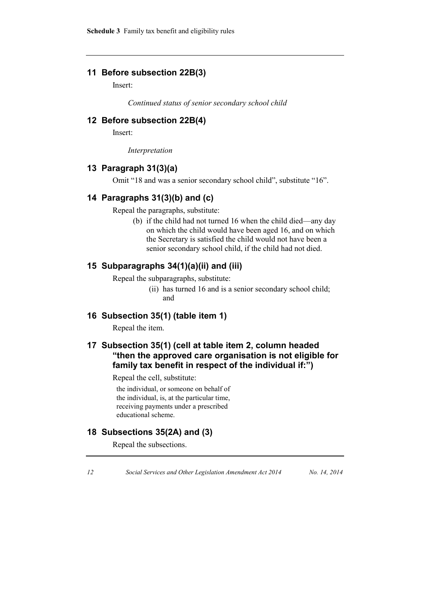### **11 Before subsection 22B(3)**

Insert:

*Continued status of senior secondary school child*

### **12 Before subsection 22B(4)**

Insert:

*Interpretation*

#### **13 Paragraph 31(3)(a)**

Omit "18 and was a senior secondary school child", substitute "16".

#### **14 Paragraphs 31(3)(b) and (c)**

Repeal the paragraphs, substitute:

(b) if the child had not turned 16 when the child died—any day on which the child would have been aged 16, and on which the Secretary is satisfied the child would not have been a senior secondary school child, if the child had not died.

### **15 Subparagraphs 34(1)(a)(ii) and (iii)**

Repeal the subparagraphs, substitute:

(ii) has turned 16 and is a senior secondary school child; and

#### **16 Subsection 35(1) (table item 1)**

Repeal the item.

### **17 Subsection 35(1) (cell at table item 2, column headed "then the approved care organisation is not eligible for family tax benefit in respect of the individual if:")**

Repeal the cell, substitute:

the individual, or someone on behalf of the individual, is, at the particular time, receiving payments under a prescribed educational scheme.

### **18 Subsections 35(2A) and (3)**

Repeal the subsections.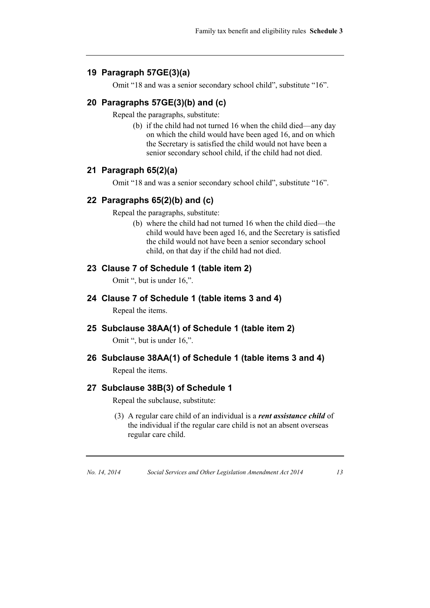### **19 Paragraph 57GE(3)(a)**

Omit "18 and was a senior secondary school child", substitute "16".

### **20 Paragraphs 57GE(3)(b) and (c)**

Repeal the paragraphs, substitute:

(b) if the child had not turned 16 when the child died—any day on which the child would have been aged 16, and on which the Secretary is satisfied the child would not have been a senior secondary school child, if the child had not died.

#### **21 Paragraph 65(2)(a)**

Omit "18 and was a senior secondary school child", substitute "16".

#### **22 Paragraphs 65(2)(b) and (c)**

Repeal the paragraphs, substitute:

(b) where the child had not turned 16 when the child died—the child would have been aged 16, and the Secretary is satisfied the child would not have been a senior secondary school child, on that day if the child had not died.

### **23 Clause 7 of Schedule 1 (table item 2)**

Omit ", but is under 16,".

**24 Clause 7 of Schedule 1 (table items 3 and 4)**

Repeal the items.

#### **25 Subclause 38AA(1) of Schedule 1 (table item 2)**

Omit ", but is under 16,".

#### **26 Subclause 38AA(1) of Schedule 1 (table items 3 and 4)**

Repeal the items.

#### **27 Subclause 38B(3) of Schedule 1**

Repeal the subclause, substitute:

(3) A regular care child of an individual is a *rent assistance child* of the individual if the regular care child is not an absent overseas regular care child.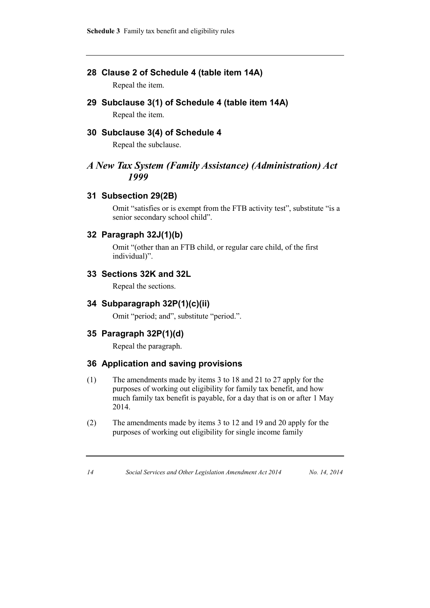**Schedule 3** Family tax benefit and eligibility rules

### **28 Clause 2 of Schedule 4 (table item 14A)**

Repeal the item.

**29 Subclause 3(1) of Schedule 4 (table item 14A)**

Repeal the item.

### **30 Subclause 3(4) of Schedule 4**

Repeal the subclause.

### *A New Tax System (Family Assistance) (Administration) Act 1999*

### **31 Subsection 29(2B)**

Omit "satisfies or is exempt from the FTB activity test", substitute "is a senior secondary school child".

### **32 Paragraph 32J(1)(b)**

Omit "(other than an FTB child, or regular care child, of the first individual)".

### **33 Sections 32K and 32L**

Repeal the sections.

### **34 Subparagraph 32P(1)(c)(ii)**

Omit "period; and", substitute "period.".

### **35 Paragraph 32P(1)(d)**

Repeal the paragraph.

### **36 Application and saving provisions**

- (1) The amendments made by items 3 to 18 and 21 to 27 apply for the purposes of working out eligibility for family tax benefit, and how much family tax benefit is payable, for a day that is on or after 1 May 2014.
- (2) The amendments made by items 3 to 12 and 19 and 20 apply for the purposes of working out eligibility for single income family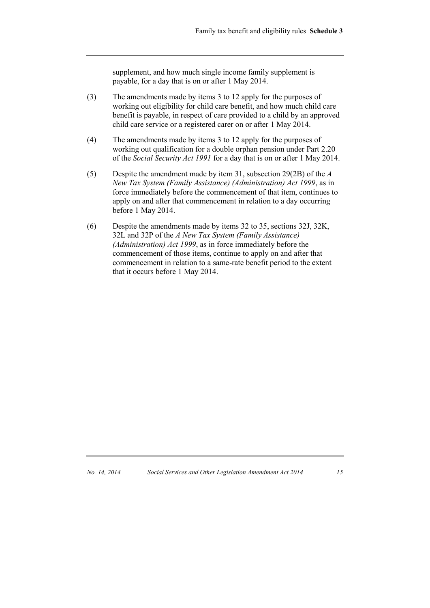supplement, and how much single income family supplement is payable, for a day that is on or after 1 May 2014.

- (3) The amendments made by items 3 to 12 apply for the purposes of working out eligibility for child care benefit, and how much child care benefit is payable, in respect of care provided to a child by an approved child care service or a registered carer on or after 1 May 2014.
- (4) The amendments made by items 3 to 12 apply for the purposes of working out qualification for a double orphan pension under Part 2.20 of the *Social Security Act 1991* for a day that is on or after 1 May 2014.
- (5) Despite the amendment made by item 31, subsection 29(2B) of the *A New Tax System (Family Assistance) (Administration) Act 1999*, as in force immediately before the commencement of that item, continues to apply on and after that commencement in relation to a day occurring before 1 May 2014.
- (6) Despite the amendments made by items 32 to 35, sections 32J, 32K, 32L and 32P of the *A New Tax System (Family Assistance) (Administration) Act 1999*, as in force immediately before the commencement of those items, continue to apply on and after that commencement in relation to a same-rate benefit period to the extent that it occurs before 1 May 2014.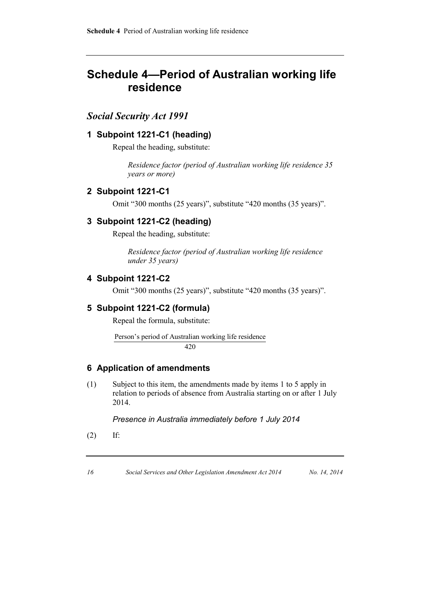## **Schedule 4—Period of Australian working life residence**

### *Social Security Act 1991*

### **1 Subpoint 1221-C1 (heading)**

Repeal the heading, substitute:

*Residence factor (period of Australian working life residence 35 years or more)*

#### **2 Subpoint 1221-C1**

Omit "300 months (25 years)", substitute "420 months (35 years)".

#### **3 Subpoint 1221-C2 (heading)**

Repeal the heading, substitute:

*Residence factor (period of Australian working life residence under 35 years)*

#### **4 Subpoint 1221-C2**

Omit "300 months (25 years)", substitute "420 months (35 years)".

#### **5 Subpoint 1221-C2 (formula)**

Repeal the formula, substitute:

Person's period of Australian working life residence 420

#### **6 Application of amendments**

(1) Subject to this item, the amendments made by items 1 to 5 apply in relation to periods of absence from Australia starting on or after 1 July 2014.

*Presence in Australia immediately before 1 July 2014*

(2) If: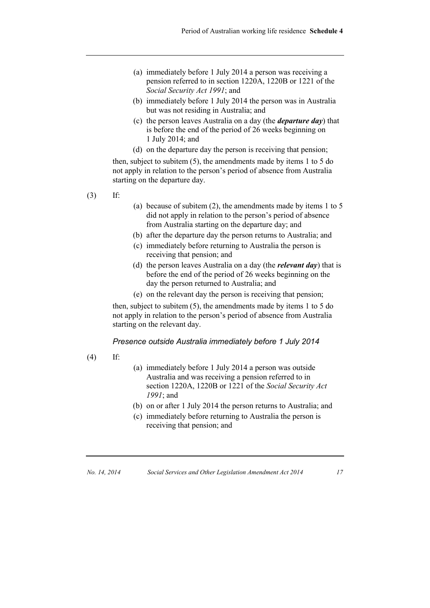- (a) immediately before 1 July 2014 a person was receiving a pension referred to in section 1220A, 1220B or 1221 of the *Social Security Act 1991*; and
- (b) immediately before 1 July 2014 the person was in Australia but was not residing in Australia; and
- (c) the person leaves Australia on a day (the *departure day*) that is before the end of the period of 26 weeks beginning on 1 July 2014; and
- (d) on the departure day the person is receiving that pension;

then, subject to subitem (5), the amendments made by items 1 to 5 do not apply in relation to the person's period of absence from Australia starting on the departure day.

- (3) If:
- (a) because of subitem (2), the amendments made by items 1 to 5 did not apply in relation to the person's period of absence from Australia starting on the departure day; and
- (b) after the departure day the person returns to Australia; and
- (c) immediately before returning to Australia the person is receiving that pension; and
- (d) the person leaves Australia on a day (the *relevant day*) that is before the end of the period of 26 weeks beginning on the day the person returned to Australia; and
- (e) on the relevant day the person is receiving that pension;

then, subject to subitem (5), the amendments made by items 1 to 5 do not apply in relation to the person's period of absence from Australia starting on the relevant day.

#### *Presence outside Australia immediately before 1 July 2014*

- (4) If:
- (a) immediately before 1 July 2014 a person was outside Australia and was receiving a pension referred to in section 1220A, 1220B or 1221 of the *Social Security Act 1991*; and
- (b) on or after 1 July 2014 the person returns to Australia; and
- (c) immediately before returning to Australia the person is receiving that pension; and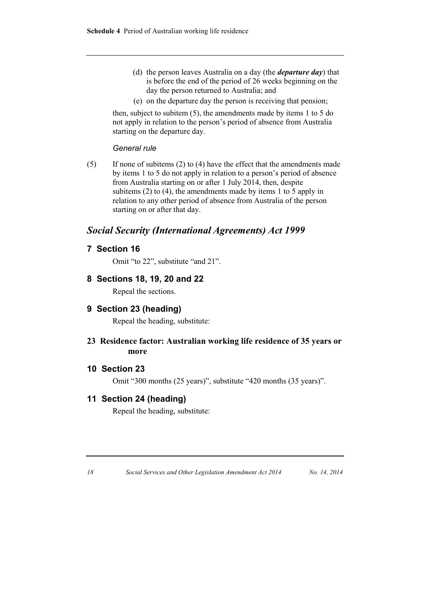- (d) the person leaves Australia on a day (the *departure day*) that is before the end of the period of 26 weeks beginning on the day the person returned to Australia; and
- (e) on the departure day the person is receiving that pension;

then, subject to subitem (5), the amendments made by items 1 to 5 do not apply in relation to the person's period of absence from Australia starting on the departure day.

#### *General rule*

(5) If none of subitems (2) to (4) have the effect that the amendments made by items 1 to 5 do not apply in relation to a person's period of absence from Australia starting on or after 1 July 2014, then, despite subitems  $(2)$  to  $(4)$ , the amendments made by items 1 to 5 apply in relation to any other period of absence from Australia of the person starting on or after that day.

### *Social Security (International Agreements) Act 1999*

#### **7 Section 16**

Omit "to 22", substitute "and 21".

#### **8 Sections 18, 19, 20 and 22**

Repeal the sections.

#### **9 Section 23 (heading)**

Repeal the heading, substitute:

**23 Residence factor: Australian working life residence of 35 years or more**

#### **10 Section 23**

Omit "300 months (25 years)", substitute "420 months (35 years)".

### **11 Section 24 (heading)**

Repeal the heading, substitute:

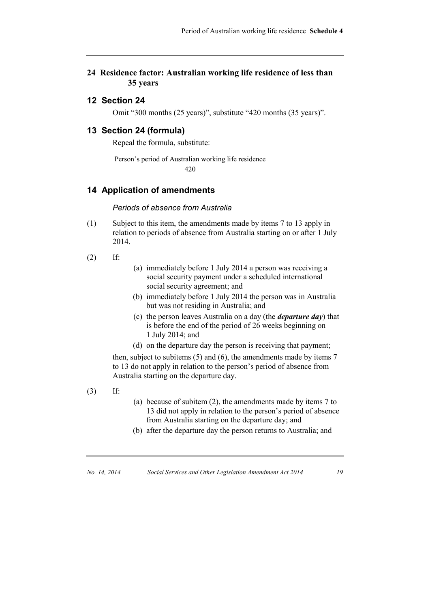#### **24 Residence factor: Australian working life residence of less than 35 years**

### **12 Section 24**

Omit "300 months (25 years)", substitute "420 months (35 years)".

#### **13 Section 24 (formula)**

Repeal the formula, substitute:

Person's period of Australian working life residence 420

#### **14 Application of amendments**

#### *Periods of absence from Australia*

(1) Subject to this item, the amendments made by items 7 to 13 apply in relation to periods of absence from Australia starting on or after 1 July 2014.

 $(2)$  If:

- (a) immediately before 1 July 2014 a person was receiving a social security payment under a scheduled international social security agreement; and
- (b) immediately before 1 July 2014 the person was in Australia but was not residing in Australia; and
- (c) the person leaves Australia on a day (the *departure day*) that is before the end of the period of 26 weeks beginning on 1 July 2014; and
- (d) on the departure day the person is receiving that payment;

then, subject to subitems (5) and (6), the amendments made by items 7 to 13 do not apply in relation to the person's period of absence from Australia starting on the departure day.

- (3) If:
- (a) because of subitem (2), the amendments made by items 7 to 13 did not apply in relation to the person's period of absence from Australia starting on the departure day; and
- (b) after the departure day the person returns to Australia; and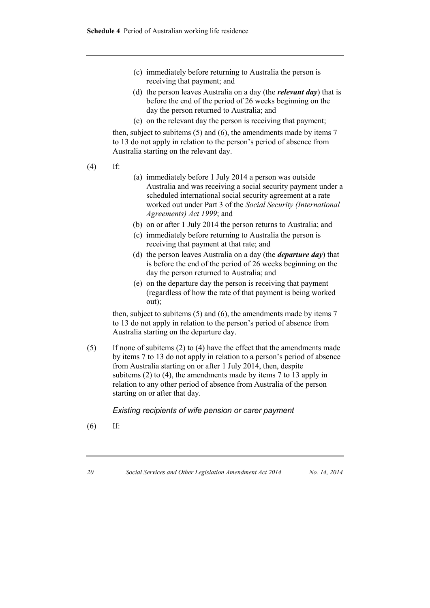- (c) immediately before returning to Australia the person is receiving that payment; and
- (d) the person leaves Australia on a day (the *relevant day*) that is before the end of the period of 26 weeks beginning on the day the person returned to Australia; and
- (e) on the relevant day the person is receiving that payment;

then, subject to subitems (5) and (6), the amendments made by items 7 to 13 do not apply in relation to the person's period of absence from Australia starting on the relevant day.

- (4) If:
- (a) immediately before 1 July 2014 a person was outside Australia and was receiving a social security payment under a scheduled international social security agreement at a rate worked out under Part 3 of the *Social Security (International Agreements) Act 1999*; and
- (b) on or after 1 July 2014 the person returns to Australia; and
- (c) immediately before returning to Australia the person is receiving that payment at that rate; and
- (d) the person leaves Australia on a day (the *departure day*) that is before the end of the period of 26 weeks beginning on the day the person returned to Australia; and
- (e) on the departure day the person is receiving that payment (regardless of how the rate of that payment is being worked out);

then, subject to subitems (5) and (6), the amendments made by items 7 to 13 do not apply in relation to the person's period of absence from Australia starting on the departure day.

(5) If none of subitems (2) to (4) have the effect that the amendments made by items 7 to 13 do not apply in relation to a person's period of absence from Australia starting on or after 1 July 2014, then, despite subitems (2) to (4), the amendments made by items 7 to 13 apply in relation to any other period of absence from Australia of the person starting on or after that day.

*Existing recipients of wife pension or carer payment*

(6) If: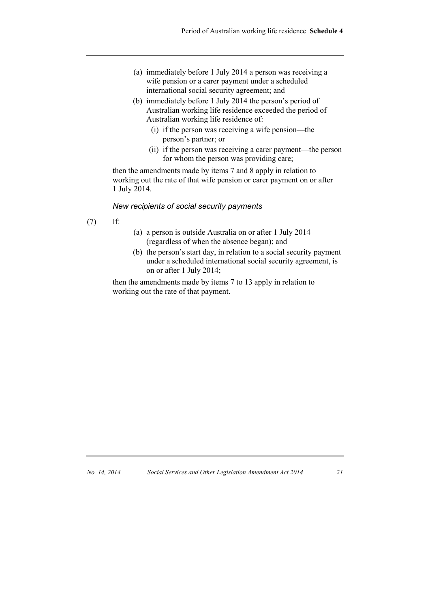- (a) immediately before 1 July 2014 a person was receiving a wife pension or a carer payment under a scheduled international social security agreement; and
- (b) immediately before 1 July 2014 the person's period of Australian working life residence exceeded the period of Australian working life residence of:
	- (i) if the person was receiving a wife pension—the person's partner; or
	- (ii) if the person was receiving a carer payment—the person for whom the person was providing care;

then the amendments made by items 7 and 8 apply in relation to working out the rate of that wife pension or carer payment on or after 1 July 2014.

#### *New recipients of social security payments*

- (7) If:
- (a) a person is outside Australia on or after 1 July 2014 (regardless of when the absence began); and
- (b) the person's start day, in relation to a social security payment under a scheduled international social security agreement, is on or after 1 July 2014;

then the amendments made by items 7 to 13 apply in relation to working out the rate of that payment.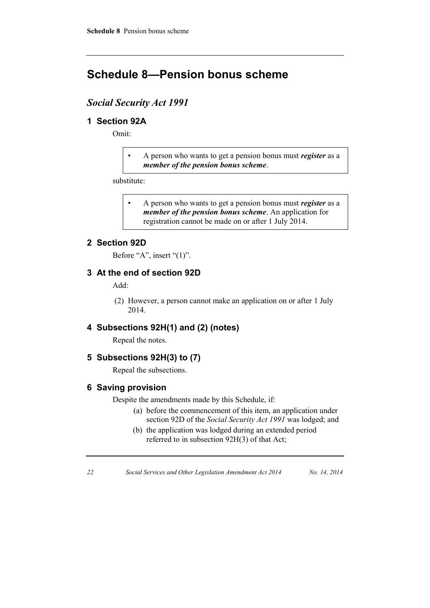## **Schedule 8—Pension bonus scheme**

### *Social Security Act 1991*

### **1 Section 92A**

Omit:

• A person who wants to get a pension bonus must *register* as a *member of the pension bonus scheme*.

substitute:

• A person who wants to get a pension bonus must *register* as a *member of the pension bonus scheme*. An application for registration cannot be made on or after 1 July 2014.

### **2 Section 92D**

Before "A", insert "(1)".

### **3 At the end of section 92D**

Add:

(2) However, a person cannot make an application on or after 1 July 2014.

### **4 Subsections 92H(1) and (2) (notes)**

Repeal the notes.

### **5 Subsections 92H(3) to (7)**

Repeal the subsections.

#### **6 Saving provision**

Despite the amendments made by this Schedule, if:

- (a) before the commencement of this item, an application under section 92D of the *Social Security Act 1991* was lodged; and
- (b) the application was lodged during an extended period referred to in subsection 92H(3) of that Act;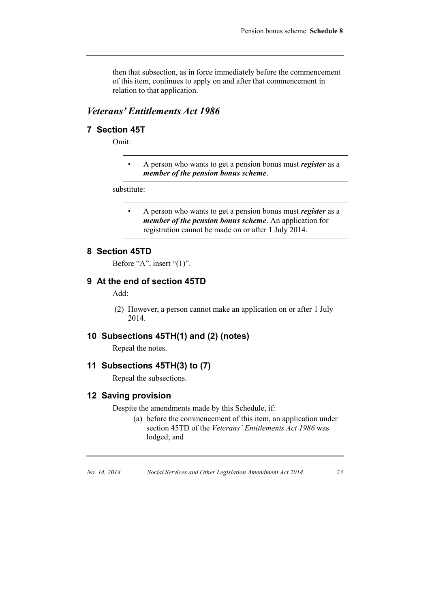then that subsection, as in force immediately before the commencement of this item, continues to apply on and after that commencement in relation to that application.

### *Veterans' Entitlements Act 1986*

#### **7 Section 45T**

Omit:

• A person who wants to get a pension bonus must *register* as a *member of the pension bonus scheme*.

substitute:

• A person who wants to get a pension bonus must *register* as a *member of the pension bonus scheme*. An application for registration cannot be made on or after 1 July 2014.

#### **8 Section 45TD**

Before "A", insert "(1)".

### **9 At the end of section 45TD**

Add:

(2) However, a person cannot make an application on or after 1 July 2014.

#### **10 Subsections 45TH(1) and (2) (notes)**

Repeal the notes.

### **11 Subsections 45TH(3) to (7)**

Repeal the subsections.

#### **12 Saving provision**

Despite the amendments made by this Schedule, if:

(a) before the commencement of this item, an application under section 45TD of the *Veterans' Entitlements Act 1986* was lodged; and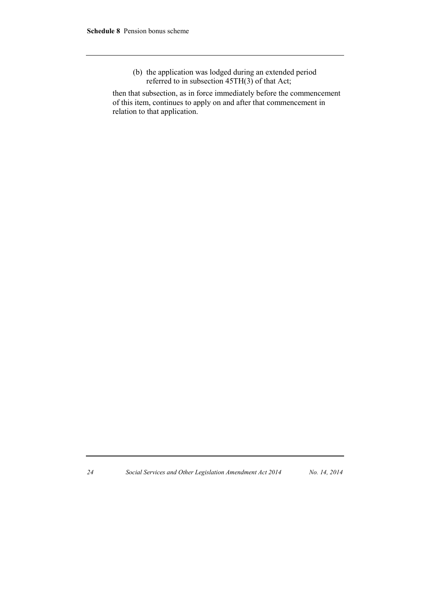(b) the application was lodged during an extended period referred to in subsection  $45TH(3)$  of that Act;

then that subsection, as in force immediately before the commencement of this item, continues to apply on and after that commencement in relation to that application.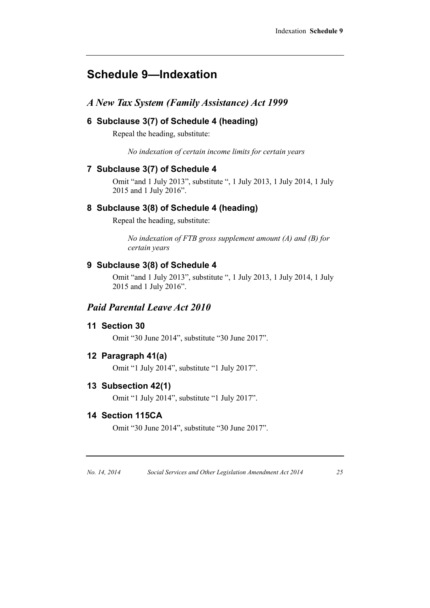## **Schedule 9—Indexation**

## *A New Tax System (Family Assistance) Act 1999*

### **6 Subclause 3(7) of Schedule 4 (heading)**

Repeal the heading, substitute:

*No indexation of certain income limits for certain years*

### **7 Subclause 3(7) of Schedule 4**

Omit "and 1 July 2013", substitute ", 1 July 2013, 1 July 2014, 1 July 2015 and 1 July 2016".

### **8 Subclause 3(8) of Schedule 4 (heading)**

Repeal the heading, substitute:

*No indexation of FTB gross supplement amount (A) and (B) for certain years*

### **9 Subclause 3(8) of Schedule 4**

Omit "and 1 July 2013", substitute ", 1 July 2013, 1 July 2014, 1 July 2015 and 1 July 2016".

### *Paid Parental Leave Act 2010*

### **11 Section 30**

Omit "30 June 2014", substitute "30 June 2017".

#### **12 Paragraph 41(a)**

Omit "1 July 2014", substitute "1 July 2017".

### **13 Subsection 42(1)**

Omit "1 July 2014", substitute "1 July 2017".

### **14 Section 115CA**

Omit "30 June 2014", substitute "30 June 2017".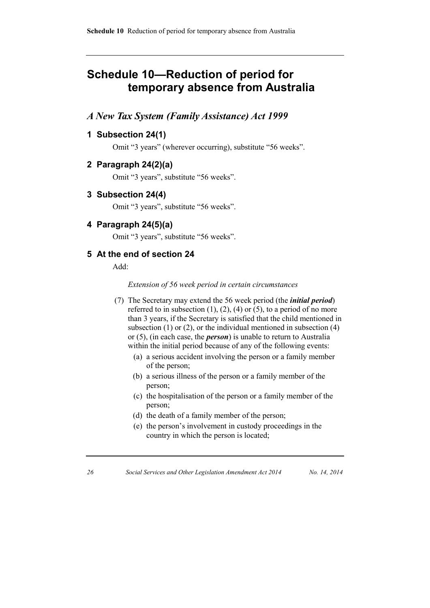## **Schedule 10—Reduction of period for temporary absence from Australia**

### *A New Tax System (Family Assistance) Act 1999*

### **1 Subsection 24(1)**

Omit "3 years" (wherever occurring), substitute "56 weeks".

#### **2 Paragraph 24(2)(a)**

Omit "3 years", substitute "56 weeks".

**3 Subsection 24(4)**

Omit "3 years", substitute "56 weeks".

#### **4 Paragraph 24(5)(a)**

Omit "3 years", substitute "56 weeks".

#### **5 At the end of section 24**

Add:

*Extension of 56 week period in certain circumstances*

- (7) The Secretary may extend the 56 week period (the *initial period*) referred to in subsection  $(1)$ ,  $(2)$ ,  $(4)$  or  $(5)$ , to a period of no more than 3 years, if the Secretary is satisfied that the child mentioned in subsection  $(1)$  or  $(2)$ , or the individual mentioned in subsection  $(4)$ or (5), (in each case, the *person*) is unable to return to Australia within the initial period because of any of the following events:
	- (a) a serious accident involving the person or a family member of the person;
	- (b) a serious illness of the person or a family member of the person;
	- (c) the hospitalisation of the person or a family member of the person;
	- (d) the death of a family member of the person;
	- (e) the person's involvement in custody proceedings in the country in which the person is located;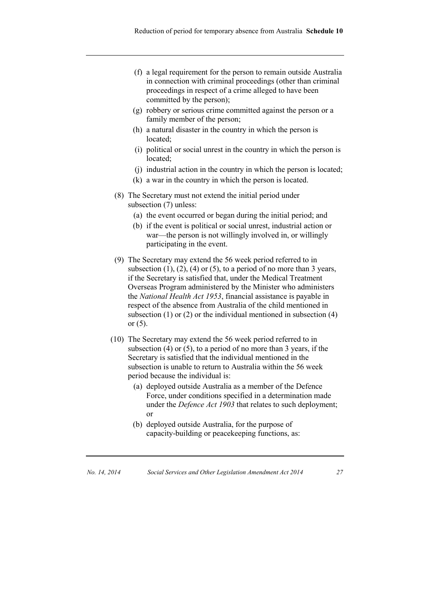- (f) a legal requirement for the person to remain outside Australia in connection with criminal proceedings (other than criminal proceedings in respect of a crime alleged to have been committed by the person);
- (g) robbery or serious crime committed against the person or a family member of the person;
- (h) a natural disaster in the country in which the person is located;
- (i) political or social unrest in the country in which the person is located;
- (j) industrial action in the country in which the person is located;
- (k) a war in the country in which the person is located.
- (8) The Secretary must not extend the initial period under subsection (7) unless:
	- (a) the event occurred or began during the initial period; and
	- (b) if the event is political or social unrest, industrial action or war—the person is not willingly involved in, or willingly participating in the event.
- (9) The Secretary may extend the 56 week period referred to in subsection  $(1)$ ,  $(2)$ ,  $(4)$  or  $(5)$ , to a period of no more than 3 years, if the Secretary is satisfied that, under the Medical Treatment Overseas Program administered by the Minister who administers the *National Health Act 1953*, financial assistance is payable in respect of the absence from Australia of the child mentioned in subsection (1) or (2) or the individual mentioned in subsection (4) or  $(5)$ .
- (10) The Secretary may extend the 56 week period referred to in subsection (4) or (5), to a period of no more than 3 years, if the Secretary is satisfied that the individual mentioned in the subsection is unable to return to Australia within the 56 week period because the individual is:
	- (a) deployed outside Australia as a member of the Defence Force, under conditions specified in a determination made under the *Defence Act 1903* that relates to such deployment; or
	- (b) deployed outside Australia, for the purpose of capacity-building or peacekeeping functions, as:

| No. 14, 2014 | Social Services and Other Legislation Amendment Act 2014 |  |
|--------------|----------------------------------------------------------|--|
|--------------|----------------------------------------------------------|--|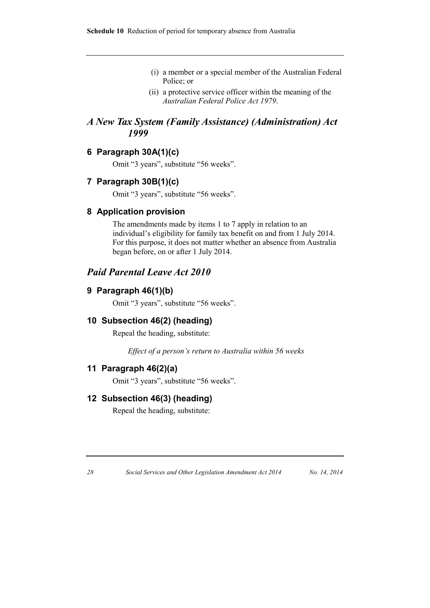- (i) a member or a special member of the Australian Federal Police; or
- (ii) a protective service officer within the meaning of the *Australian Federal Police Act 1979*.

### *A New Tax System (Family Assistance) (Administration) Act 1999*

### **6 Paragraph 30A(1)(c)**

Omit "3 years", substitute "56 weeks".

#### **7 Paragraph 30B(1)(c)**

Omit "3 years", substitute "56 weeks".

#### **8 Application provision**

The amendments made by items 1 to 7 apply in relation to an individual's eligibility for family tax benefit on and from 1 July 2014. For this purpose, it does not matter whether an absence from Australia began before, on or after 1 July 2014.

### *Paid Parental Leave Act 2010*

#### **9 Paragraph 46(1)(b)**

Omit "3 years", substitute "56 weeks".

### **10 Subsection 46(2) (heading)**

Repeal the heading, substitute:

*Effect of a person's return to Australia within 56 weeks*

### **11 Paragraph 46(2)(a)**

Omit "3 years", substitute "56 weeks".

#### **12 Subsection 46(3) (heading)**

Repeal the heading, substitute: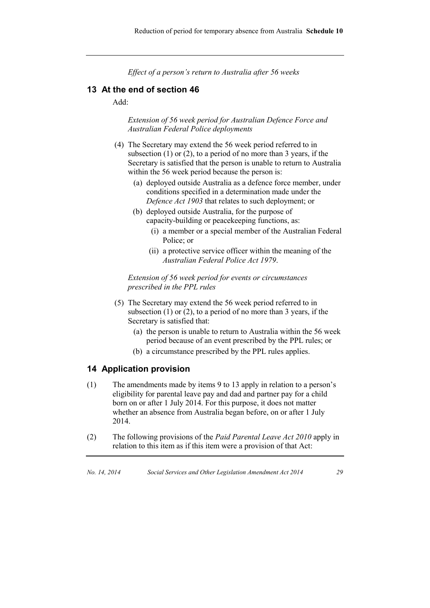*Effect of a person's return to Australia after 56 weeks*

#### **13 At the end of section 46**

Add:

*Extension of 56 week period for Australian Defence Force and Australian Federal Police deployments*

- (4) The Secretary may extend the 56 week period referred to in subsection (1) or (2), to a period of no more than 3 years, if the Secretary is satisfied that the person is unable to return to Australia within the 56 week period because the person is:
	- (a) deployed outside Australia as a defence force member, under conditions specified in a determination made under the *Defence Act 1903* that relates to such deployment; or
	- (b) deployed outside Australia, for the purpose of capacity-building or peacekeeping functions, as:
		- (i) a member or a special member of the Australian Federal Police; or
		- (ii) a protective service officer within the meaning of the *Australian Federal Police Act 1979*.

*Extension of 56 week period for events or circumstances prescribed in the PPL rules*

- (5) The Secretary may extend the 56 week period referred to in subsection (1) or (2), to a period of no more than 3 years, if the Secretary is satisfied that:
	- (a) the person is unable to return to Australia within the 56 week period because of an event prescribed by the PPL rules; or
	- (b) a circumstance prescribed by the PPL rules applies.

#### **14 Application provision**

- (1) The amendments made by items 9 to 13 apply in relation to a person's eligibility for parental leave pay and dad and partner pay for a child born on or after 1 July 2014. For this purpose, it does not matter whether an absence from Australia began before, on or after 1 July 2014.
- (2) The following provisions of the *Paid Parental Leave Act 2010* apply in relation to this item as if this item were a provision of that Act: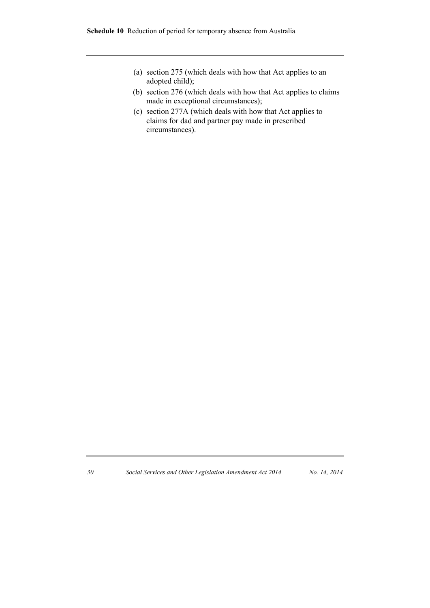- (a) section 275 (which deals with how that Act applies to an adopted child);
- (b) section 276 (which deals with how that Act applies to claims made in exceptional circumstances);
- (c) section 277A (which deals with how that Act applies to claims for dad and partner pay made in prescribed circumstances).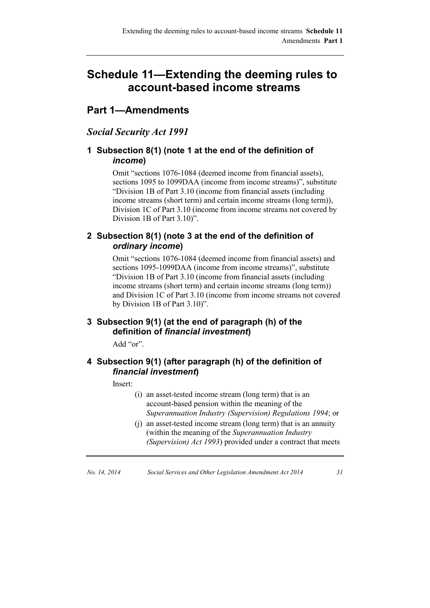## **Schedule 11—Extending the deeming rules to account-based income streams**

## **Part 1—Amendments**

### *Social Security Act 1991*

### **1 Subsection 8(1) (note 1 at the end of the definition of**  *income***)**

Omit "sections 1076-1084 (deemed income from financial assets), sections 1095 to 1099DAA (income from income streams)", substitute "Division 1B of Part 3.10 (income from financial assets (including income streams (short term) and certain income streams (long term)), Division 1C of Part 3.10 (income from income streams not covered by Division 1B of Part 3.10)".

### **2 Subsection 8(1) (note 3 at the end of the definition of**  *ordinary income***)**

Omit "sections 1076-1084 (deemed income from financial assets) and sections 1095-1099DAA (income from income streams)", substitute "Division 1B of Part 3.10 (income from financial assets (including income streams (short term) and certain income streams (long term)) and Division 1C of Part 3.10 (income from income streams not covered by Division 1B of Part 3.10)".

### **3 Subsection 9(1) (at the end of paragraph (h) of the definition of** *financial investment***)**

Add "or".

### **4 Subsection 9(1) (after paragraph (h) of the definition of**  *financial investment***)**

Insert:

- (i) an asset-tested income stream (long term) that is an account-based pension within the meaning of the *Superannuation Industry (Supervision) Regulations 1994*; or
- (j) an asset-tested income stream (long term) that is an annuity (within the meaning of the *Superannuation Industry (Supervision) Act 1993*) provided under a contract that meets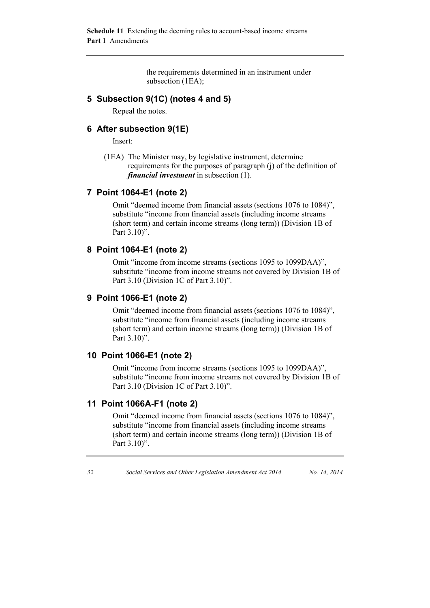the requirements determined in an instrument under subsection (1EA);

#### **5 Subsection 9(1C) (notes 4 and 5)**

Repeal the notes.

#### **6 After subsection 9(1E)**

Insert:

(1EA) The Minister may, by legislative instrument, determine requirements for the purposes of paragraph (j) of the definition of *financial investment* in subsection (1).

#### **7 Point 1064-E1 (note 2)**

Omit "deemed income from financial assets (sections 1076 to 1084)", substitute "income from financial assets (including income streams (short term) and certain income streams (long term)) (Division 1B of Part 3.10)".

### **8 Point 1064-E1 (note 2)**

Omit "income from income streams (sections 1095 to 1099DAA)", substitute "income from income streams not covered by Division 1B of Part 3.10 (Division 1C of Part 3.10)".

#### **9 Point 1066-E1 (note 2)**

Omit "deemed income from financial assets (sections 1076 to 1084)", substitute "income from financial assets (including income streams (short term) and certain income streams (long term)) (Division 1B of Part 3.10)".

### **10 Point 1066-E1 (note 2)**

Omit "income from income streams (sections 1095 to 1099DAA)", substitute "income from income streams not covered by Division 1B of Part 3.10 (Division 1C of Part 3.10)".

#### **11 Point 1066A-F1 (note 2)**

Omit "deemed income from financial assets (sections 1076 to 1084)", substitute "income from financial assets (including income streams (short term) and certain income streams (long term)) (Division 1B of Part 3.10)".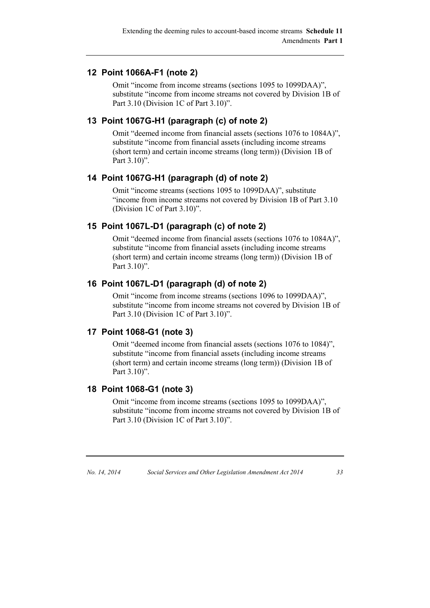### **12 Point 1066A-F1 (note 2)**

Omit "income from income streams (sections 1095 to 1099DAA)", substitute "income from income streams not covered by Division 1B of Part 3.10 (Division 1C of Part 3.10)".

### **13 Point 1067G-H1 (paragraph (c) of note 2)**

Omit "deemed income from financial assets (sections 1076 to 1084A)", substitute "income from financial assets (including income streams (short term) and certain income streams (long term)) (Division 1B of Part 3.10)".

### **14 Point 1067G-H1 (paragraph (d) of note 2)**

Omit "income streams (sections 1095 to 1099DAA)", substitute "income from income streams not covered by Division 1B of Part 3.10 (Division 1C of Part 3.10)".

### **15 Point 1067L-D1 (paragraph (c) of note 2)**

Omit "deemed income from financial assets (sections 1076 to 1084A)", substitute "income from financial assets (including income streams (short term) and certain income streams (long term)) (Division 1B of Part 3.10)".

### **16 Point 1067L-D1 (paragraph (d) of note 2)**

Omit "income from income streams (sections 1096 to 1099DAA)", substitute "income from income streams not covered by Division 1B of Part 3.10 (Division 1C of Part 3.10)".

#### **17 Point 1068-G1 (note 3)**

Omit "deemed income from financial assets (sections 1076 to 1084)", substitute "income from financial assets (including income streams (short term) and certain income streams (long term)) (Division 1B of Part 3.10)".

#### **18 Point 1068-G1 (note 3)**

Omit "income from income streams (sections 1095 to 1099DAA)", substitute "income from income streams not covered by Division 1B of Part 3.10 (Division 1C of Part 3.10)".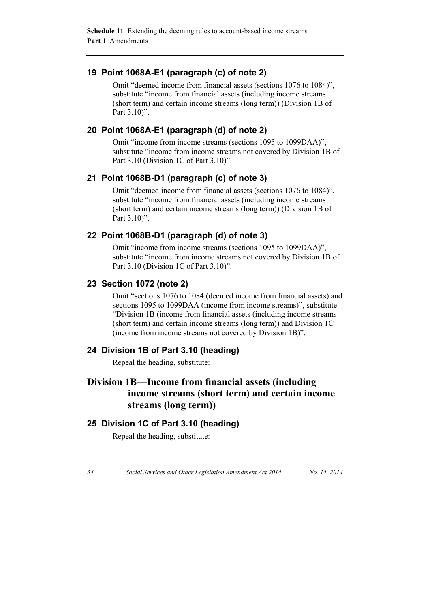### **19 Point 1068A-E1 (paragraph (c) of note 2)**

Omit "deemed income from financial assets (sections 1076 to 1084)", substitute "income from financial assets (including income streams (short term) and certain income streams (long term)) (Division 1B of Part 3.10)".

### **20 Point 1068A-E1 (paragraph (d) of note 2)**

Omit "income from income streams (sections 1095 to 1099DAA)", substitute "income from income streams not covered by Division 1B of Part 3.10 (Division 1C of Part 3.10)".

### **21 Point 1068B-D1 (paragraph (c) of note 3)**

Omit "deemed income from financial assets (sections 1076 to 1084)", substitute "income from financial assets (including income streams (short term) and certain income streams (long term)) (Division 1B of Part 3.10)".

### **22 Point 1068B-D1 (paragraph (d) of note 3)**

Omit "income from income streams (sections 1095 to 1099DAA)", substitute "income from income streams not covered by Division 1B of Part 3.10 (Division 1C of Part 3.10)".

#### **23 Section 1072 (note 2)**

Omit "sections 1076 to 1084 (deemed income from financial assets) and sections 1095 to 1099DAA (income from income streams)", substitute "Division 1B (income from financial assets (including income streams (short term) and certain income streams (long term)) and Division 1C (income from income streams not covered by Division 1B)".

#### **24 Division 1B of Part 3.10 (heading)**

Repeal the heading, substitute:

## **Division 1B—Income from financial assets (including income streams (short term) and certain income streams (long term))**

### **25 Division 1C of Part 3.10 (heading)**

Repeal the heading, substitute: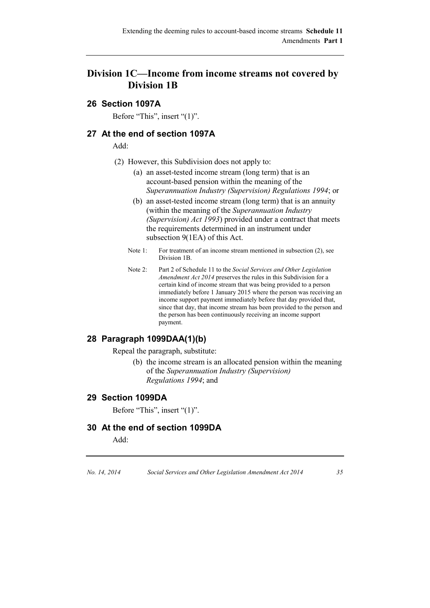### **Division 1C—Income from income streams not covered by Division 1B**

### **26 Section 1097A**

Before "This", insert "(1)".

### **27 At the end of section 1097A**

Add:

- (2) However, this Subdivision does not apply to:
	- (a) an asset-tested income stream (long term) that is an account-based pension within the meaning of the *Superannuation Industry (Supervision) Regulations 1994*; or
	- (b) an asset-tested income stream (long term) that is an annuity (within the meaning of the *Superannuation Industry (Supervision) Act 1993*) provided under a contract that meets the requirements determined in an instrument under subsection 9(1EA) of this Act.
	- Note 1: For treatment of an income stream mentioned in subsection (2), see Division 1B.
	- Note 2: Part 2 of Schedule 11 to the *Social Services and Other Legislation Amendment Act 2014* preserves the rules in this Subdivision for a certain kind of income stream that was being provided to a person immediately before 1 January 2015 where the person was receiving an income support payment immediately before that day provided that, since that day, that income stream has been provided to the person and the person has been continuously receiving an income support payment.

### **28 Paragraph 1099DAA(1)(b)**

Repeal the paragraph, substitute:

(b) the income stream is an allocated pension within the meaning of the *Superannuation Industry (Supervision) Regulations 1994*; and

#### **29 Section 1099DA**

Before "This", insert "(1)".

#### **30 At the end of section 1099DA**

Add: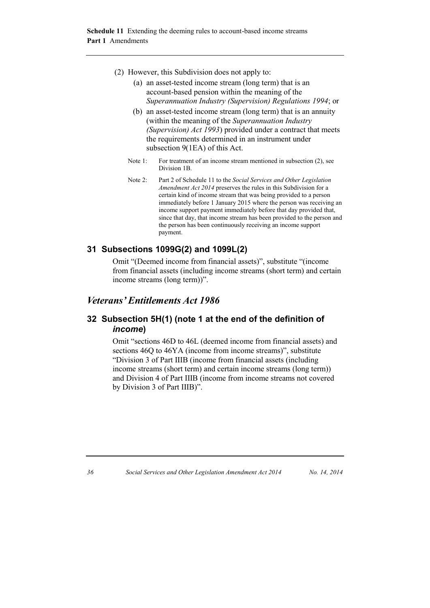- (2) However, this Subdivision does not apply to:
	- (a) an asset-tested income stream (long term) that is an account-based pension within the meaning of the *Superannuation Industry (Supervision) Regulations 1994*; or
	- (b) an asset-tested income stream (long term) that is an annuity (within the meaning of the *Superannuation Industry (Supervision) Act 1993*) provided under a contract that meets the requirements determined in an instrument under subsection 9(1EA) of this Act.
	- Note 1: For treatment of an income stream mentioned in subsection (2), see Division 1B.
	- Note 2: Part 2 of Schedule 11 to the *Social Services and Other Legislation Amendment Act 2014* preserves the rules in this Subdivision for a certain kind of income stream that was being provided to a person immediately before 1 January 2015 where the person was receiving an income support payment immediately before that day provided that, since that day, that income stream has been provided to the person and the person has been continuously receiving an income support payment.

### **31 Subsections 1099G(2) and 1099L(2)**

Omit "(Deemed income from financial assets)", substitute "(income from financial assets (including income streams (short term) and certain income streams (long term))".

### *Veterans' Entitlements Act 1986*

#### **32 Subsection 5H(1) (note 1 at the end of the definition of**  *income***)**

Omit "sections 46D to 46L (deemed income from financial assets) and sections 46Q to 46YA (income from income streams)", substitute "Division 3 of Part IIIB (income from financial assets (including income streams (short term) and certain income streams (long term)) and Division 4 of Part IIIB (income from income streams not covered by Division 3 of Part IIIB)".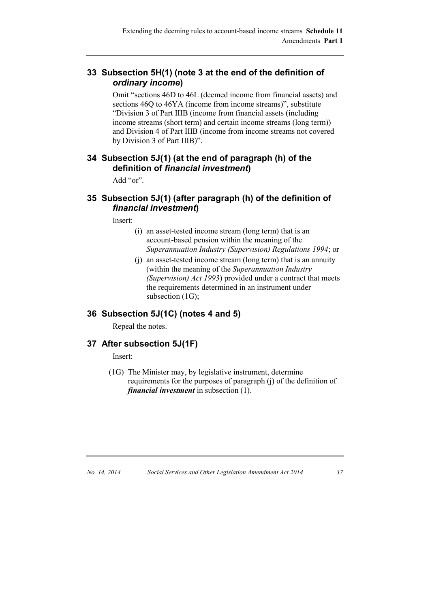### **33 Subsection 5H(1) (note 3 at the end of the definition of**  *ordinary income***)**

Omit "sections 46D to 46L (deemed income from financial assets) and sections 46Q to 46YA (income from income streams)", substitute "Division 3 of Part IIIB (income from financial assets (including income streams (short term) and certain income streams (long term)) and Division 4 of Part IIIB (income from income streams not covered by Division 3 of Part IIIB)".

### **34 Subsection 5J(1) (at the end of paragraph (h) of the definition of** *financial investment***)**

Add "or".

### **35 Subsection 5J(1) (after paragraph (h) of the definition of**  *financial investment***)**

Insert:

- (i) an asset-tested income stream (long term) that is an account-based pension within the meaning of the *Superannuation Industry (Supervision) Regulations 1994*; or
- (j) an asset-tested income stream (long term) that is an annuity (within the meaning of the *Superannuation Industry (Supervision) Act 1993*) provided under a contract that meets the requirements determined in an instrument under subsection (1G);

### **36 Subsection 5J(1C) (notes 4 and 5)**

Repeal the notes.

### **37 After subsection 5J(1F)**

Insert:

(1G) The Minister may, by legislative instrument, determine requirements for the purposes of paragraph (j) of the definition of *financial investment* in subsection (1).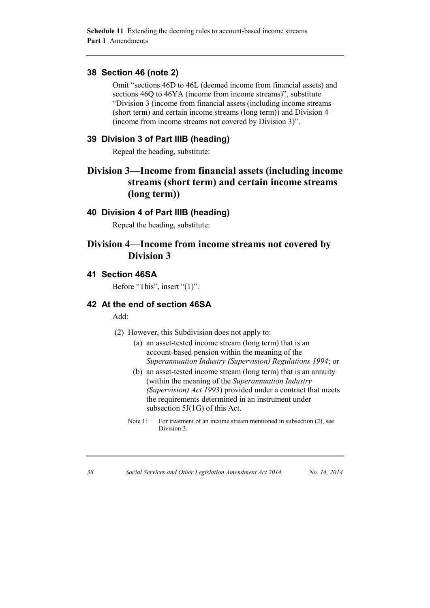#### **38 Section 46 (note 2)**

Omit "sections 46D to 46L (deemed income from financial assets) and sections 46Q to 46YA (income from income streams)", substitute "Division 3 (income from financial assets (including income streams (short term) and certain income streams (long term)) and Division 4 (income from income streams not covered by Division 3)".

### **39 Division 3 of Part IIIB (heading)**

Repeal the heading, substitute:

## **Division 3—Income from financial assets (including income streams (short term) and certain income streams (long term))**

#### **40 Division 4 of Part IIIB (heading)**

Repeal the heading, substitute:

### **Division 4—Income from income streams not covered by Division 3**

#### **41 Section 46SA**

Before "This", insert "(1)".

### **42 At the end of section 46SA**

Add:

- (2) However, this Subdivision does not apply to:
	- (a) an asset-tested income stream (long term) that is an account-based pension within the meaning of the *Superannuation Industry (Supervision) Regulations 1994*; or
	- (b) an asset-tested income stream (long term) that is an annuity (within the meaning of the *Superannuation Industry (Supervision) Act 1993*) provided under a contract that meets the requirements determined in an instrument under subsection 5J(1G) of this Act.
	- Note 1: For treatment of an income stream mentioned in subsection (2), see Division 3.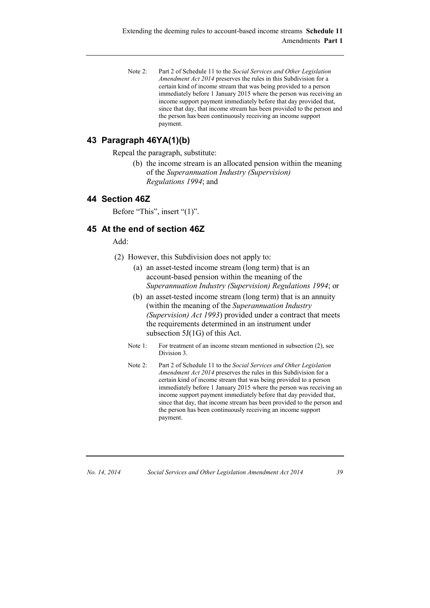Note 2: Part 2 of Schedule 11 to the *Social Services and Other Legislation Amendment Act 2014* preserves the rules in this Subdivision for a certain kind of income stream that was being provided to a person immediately before 1 January 2015 where the person was receiving an income support payment immediately before that day provided that, since that day, that income stream has been provided to the person and the person has been continuously receiving an income support payment.

### **43 Paragraph 46YA(1)(b)**

Repeal the paragraph, substitute:

(b) the income stream is an allocated pension within the meaning of the *Superannuation Industry (Supervision) Regulations 1994*; and

### **44 Section 46Z**

Before "This", insert "(1)".

#### **45 At the end of section 46Z**

Add:

- (2) However, this Subdivision does not apply to:
	- (a) an asset-tested income stream (long term) that is an account-based pension within the meaning of the *Superannuation Industry (Supervision) Regulations 1994*; or
	- (b) an asset-tested income stream (long term) that is an annuity (within the meaning of the *Superannuation Industry (Supervision) Act 1993*) provided under a contract that meets the requirements determined in an instrument under subsection 5J(1G) of this Act.
	- Note 1: For treatment of an income stream mentioned in subsection (2), see Division 3.
	- Note 2: Part 2 of Schedule 11 to the *Social Services and Other Legislation Amendment Act 2014* preserves the rules in this Subdivision for a certain kind of income stream that was being provided to a person immediately before 1 January 2015 where the person was receiving an income support payment immediately before that day provided that, since that day, that income stream has been provided to the person and the person has been continuously receiving an income support payment.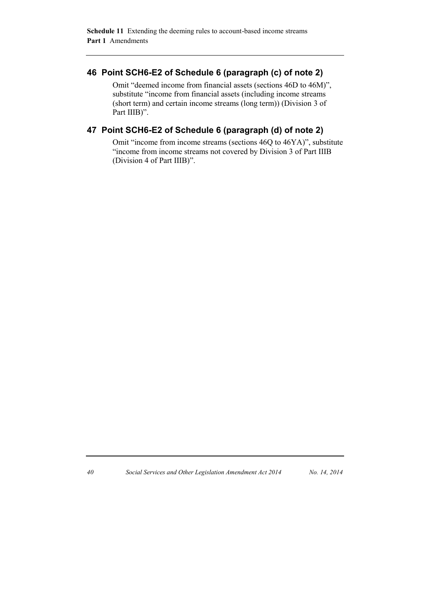#### **46 Point SCH6-E2 of Schedule 6 (paragraph (c) of note 2)**

Omit "deemed income from financial assets (sections 46D to 46M)", substitute "income from financial assets (including income streams (short term) and certain income streams (long term)) (Division 3 of Part IIIB)".

### **47 Point SCH6-E2 of Schedule 6 (paragraph (d) of note 2)**

Omit "income from income streams (sections 46Q to 46YA)", substitute "income from income streams not covered by Division 3 of Part IIIB (Division 4 of Part IIIB)".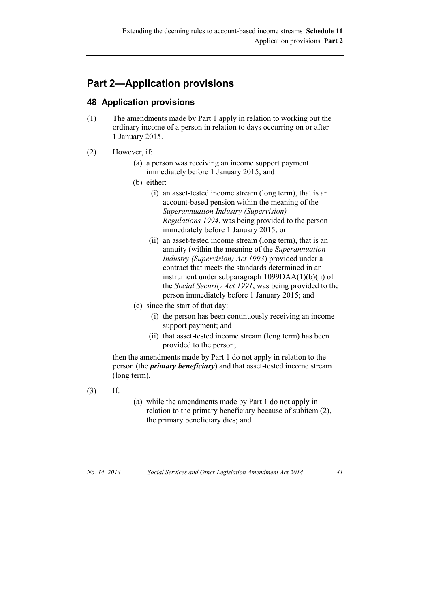## **Part 2—Application provisions**

### **48 Application provisions**

- (1) The amendments made by Part 1 apply in relation to working out the ordinary income of a person in relation to days occurring on or after 1 January 2015.
- (2) However, if:
	- (a) a person was receiving an income support payment immediately before 1 January 2015; and
	- (b) either:
		- (i) an asset-tested income stream (long term), that is an account-based pension within the meaning of the *Superannuation Industry (Supervision) Regulations 1994*, was being provided to the person immediately before 1 January 2015; or
		- (ii) an asset-tested income stream (long term), that is an annuity (within the meaning of the *Superannuation Industry (Supervision) Act 1993*) provided under a contract that meets the standards determined in an instrument under subparagraph 1099DAA(1)(b)(ii) of the *Social Security Act 1991*, was being provided to the person immediately before 1 January 2015; and
	- (c) since the start of that day:
		- (i) the person has been continuously receiving an income support payment; and
		- (ii) that asset-tested income stream (long term) has been provided to the person;

then the amendments made by Part 1 do not apply in relation to the person (the *primary beneficiary*) and that asset-tested income stream (long term).

- (3) If:
- (a) while the amendments made by Part 1 do not apply in relation to the primary beneficiary because of subitem (2), the primary beneficiary dies; and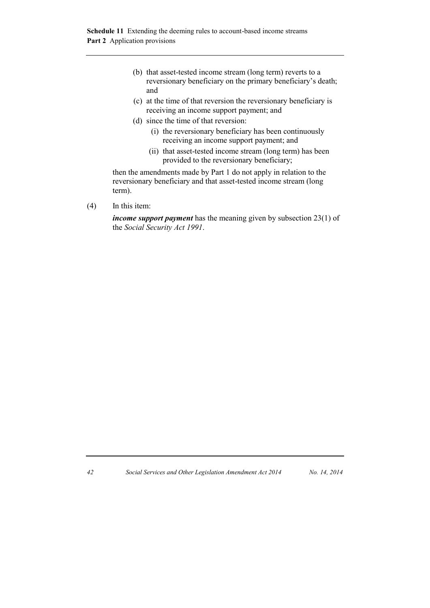**Schedule 11** Extending the deeming rules to account-based income streams **Part 2** Application provisions

- (b) that asset-tested income stream (long term) reverts to a reversionary beneficiary on the primary beneficiary's death; and
- (c) at the time of that reversion the reversionary beneficiary is receiving an income support payment; and
- (d) since the time of that reversion:
	- (i) the reversionary beneficiary has been continuously receiving an income support payment; and
	- (ii) that asset-tested income stream (long term) has been provided to the reversionary beneficiary;

then the amendments made by Part 1 do not apply in relation to the reversionary beneficiary and that asset-tested income stream (long term).

(4) In this item:

*income support payment* has the meaning given by subsection 23(1) of the *Social Security Act 1991*.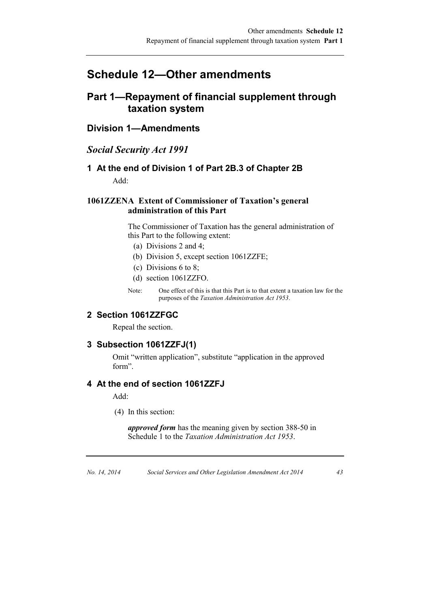## **Schedule 12—Other amendments**

## **Part 1—Repayment of financial supplement through taxation system**

**Division 1—Amendments**

### *Social Security Act 1991*

### **1 At the end of Division 1 of Part 2B.3 of Chapter 2B** Add:

#### **1061ZZENA Extent of Commissioner of Taxation's general administration of this Part**

The Commissioner of Taxation has the general administration of this Part to the following extent:

- (a) Divisions 2 and 4;
- (b) Division 5, except section 1061ZZFE;
- (c) Divisions 6 to 8;
- (d) section 1061ZZFO.
- Note: One effect of this is that this Part is to that extent a taxation law for the purposes of the *Taxation Administration Act 1953*.

#### **2 Section 1061ZZFGC**

Repeal the section.

#### **3 Subsection 1061ZZFJ(1)**

Omit "written application", substitute "application in the approved form".

#### **4 At the end of section 1061ZZFJ**

Add:

(4) In this section:

*approved form* has the meaning given by section 388-50 in Schedule 1 to the *Taxation Administration Act 1953*.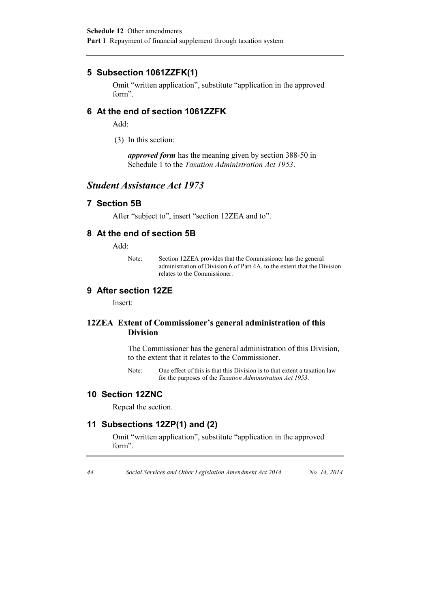### **5 Subsection 1061ZZFK(1)**

Omit "written application", substitute "application in the approved form".

#### **6 At the end of section 1061ZZFK**

Add:

(3) In this section:

*approved form* has the meaning given by section 388-50 in Schedule 1 to the *Taxation Administration Act 1953*.

### *Student Assistance Act 1973*

#### **7 Section 5B**

After "subject to", insert "section 12ZEA and to".

### **8 At the end of section 5B**

Add:

Note: Section 12ZEA provides that the Commissioner has the general administration of Division 6 of Part 4A, to the extent that the Division relates to the Commissioner.

### **9 After section 12ZE**

Insert:

#### **12ZEA Extent of Commissioner's general administration of this Division**

The Commissioner has the general administration of this Division, to the extent that it relates to the Commissioner.

Note: One effect of this is that this Division is to that extent a taxation law for the purposes of the *Taxation Administration Act 1953*.

#### **10 Section 12ZNC**

Repeal the section.

### **11 Subsections 12ZP(1) and (2)**

Omit "written application", substitute "application in the approved form".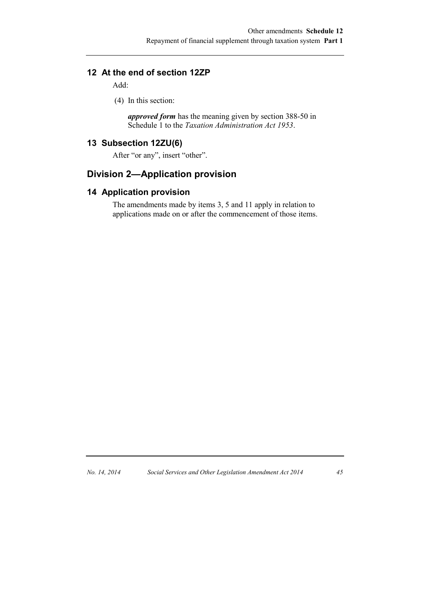### **12 At the end of section 12ZP**

Add:

(4) In this section:

*approved form* has the meaning given by section 388-50 in Schedule 1 to the *Taxation Administration Act 1953*.

### **13 Subsection 12ZU(6)**

After "or any", insert "other".

## **Division 2—Application provision**

### **14 Application provision**

The amendments made by items 3, 5 and 11 apply in relation to applications made on or after the commencement of those items.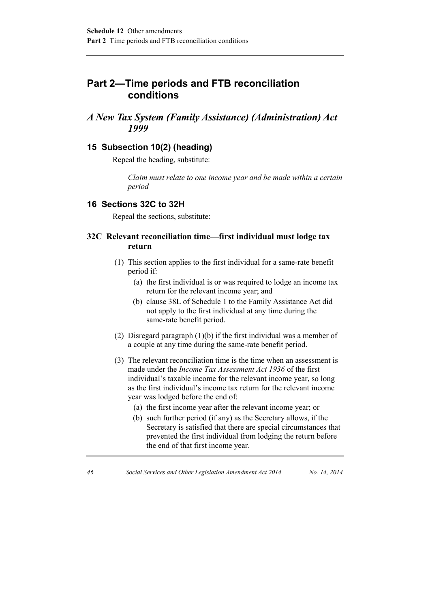## **Part 2—Time periods and FTB reconciliation conditions**

### *A New Tax System (Family Assistance) (Administration) Act 1999*

### **15 Subsection 10(2) (heading)**

Repeal the heading, substitute:

*Claim must relate to one income year and be made within a certain period*

#### **16 Sections 32C to 32H**

Repeal the sections, substitute:

#### **32C Relevant reconciliation time—first individual must lodge tax return**

- (1) This section applies to the first individual for a same-rate benefit period if:
	- (a) the first individual is or was required to lodge an income tax return for the relevant income year; and
	- (b) clause 38L of Schedule 1 to the Family Assistance Act did not apply to the first individual at any time during the same-rate benefit period.
- (2) Disregard paragraph (1)(b) if the first individual was a member of a couple at any time during the same-rate benefit period.
- (3) The relevant reconciliation time is the time when an assessment is made under the *Income Tax Assessment Act 1936* of the first individual's taxable income for the relevant income year, so long as the first individual's income tax return for the relevant income year was lodged before the end of:
	- (a) the first income year after the relevant income year; or
	- (b) such further period (if any) as the Secretary allows, if the Secretary is satisfied that there are special circumstances that prevented the first individual from lodging the return before the end of that first income year.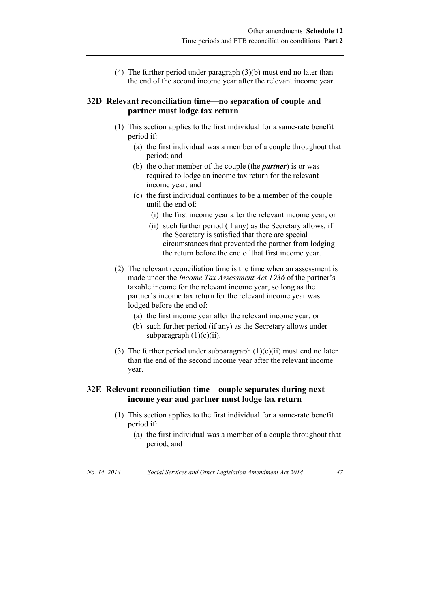(4) The further period under paragraph (3)(b) must end no later than the end of the second income year after the relevant income year.

#### **32D Relevant reconciliation time—no separation of couple and partner must lodge tax return**

- (1) This section applies to the first individual for a same-rate benefit period if:
	- (a) the first individual was a member of a couple throughout that period; and
	- (b) the other member of the couple (the *partner*) is or was required to lodge an income tax return for the relevant income year; and
	- (c) the first individual continues to be a member of the couple until the end of:
		- (i) the first income year after the relevant income year; or
		- (ii) such further period (if any) as the Secretary allows, if the Secretary is satisfied that there are special circumstances that prevented the partner from lodging the return before the end of that first income year.
- (2) The relevant reconciliation time is the time when an assessment is made under the *Income Tax Assessment Act 1936* of the partner's taxable income for the relevant income year, so long as the partner's income tax return for the relevant income year was lodged before the end of:
	- (a) the first income year after the relevant income year; or
	- (b) such further period (if any) as the Secretary allows under subparagraph  $(1)(c)(ii)$ .
- (3) The further period under subparagraph  $(1)(c)(ii)$  must end no later than the end of the second income year after the relevant income year.

#### **32E Relevant reconciliation time—couple separates during next income year and partner must lodge tax return**

- (1) This section applies to the first individual for a same-rate benefit period if:
	- (a) the first individual was a member of a couple throughout that period; and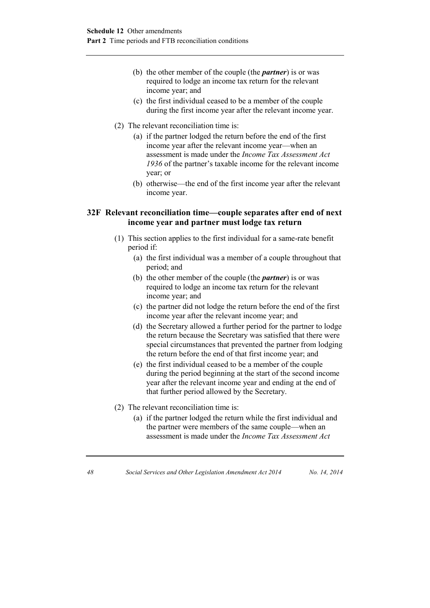- (b) the other member of the couple (the *partner*) is or was required to lodge an income tax return for the relevant income year; and
- (c) the first individual ceased to be a member of the couple during the first income year after the relevant income year.
- (2) The relevant reconciliation time is:
	- (a) if the partner lodged the return before the end of the first income year after the relevant income year—when an assessment is made under the *Income Tax Assessment Act 1936* of the partner's taxable income for the relevant income year; or
	- (b) otherwise—the end of the first income year after the relevant income year.

#### **32F Relevant reconciliation time—couple separates after end of next income year and partner must lodge tax return**

- (1) This section applies to the first individual for a same-rate benefit period if:
	- (a) the first individual was a member of a couple throughout that period; and
	- (b) the other member of the couple (the *partner*) is or was required to lodge an income tax return for the relevant income year; and
	- (c) the partner did not lodge the return before the end of the first income year after the relevant income year; and
	- (d) the Secretary allowed a further period for the partner to lodge the return because the Secretary was satisfied that there were special circumstances that prevented the partner from lodging the return before the end of that first income year; and
	- (e) the first individual ceased to be a member of the couple during the period beginning at the start of the second income year after the relevant income year and ending at the end of that further period allowed by the Secretary.
- (2) The relevant reconciliation time is:
	- (a) if the partner lodged the return while the first individual and the partner were members of the same couple—when an assessment is made under the *Income Tax Assessment Act*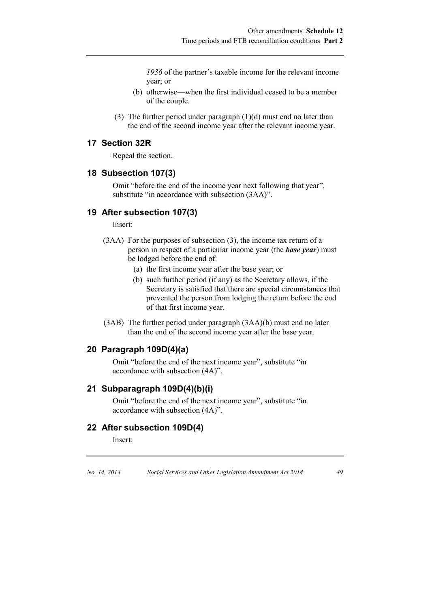*1936* of the partner's taxable income for the relevant income year; or

- (b) otherwise—when the first individual ceased to be a member of the couple.
- (3) The further period under paragraph  $(1)(d)$  must end no later than the end of the second income year after the relevant income year.

### **17 Section 32R**

Repeal the section.

#### **18 Subsection 107(3)**

Omit "before the end of the income year next following that year", substitute "in accordance with subsection (3AA)".

#### **19 After subsection 107(3)**

Insert:

- (3AA) For the purposes of subsection (3), the income tax return of a person in respect of a particular income year (the *base year*) must be lodged before the end of:
	- (a) the first income year after the base year; or
	- (b) such further period (if any) as the Secretary allows, if the Secretary is satisfied that there are special circumstances that prevented the person from lodging the return before the end of that first income year.
- (3AB) The further period under paragraph (3AA)(b) must end no later than the end of the second income year after the base year.

#### **20 Paragraph 109D(4)(a)**

Omit "before the end of the next income year", substitute "in accordance with subsection (4A)".

#### **21 Subparagraph 109D(4)(b)(i)**

Omit "before the end of the next income year", substitute "in accordance with subsection (4A)".

#### **22 After subsection 109D(4)**

Insert: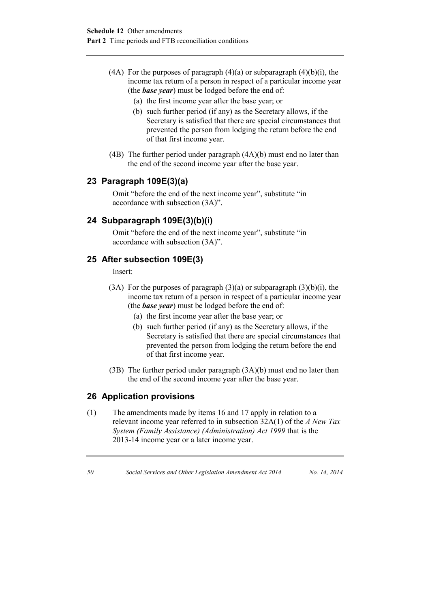- (4A) For the purposes of paragraph  $(4)(a)$  or subparagraph  $(4)(b)(i)$ , the income tax return of a person in respect of a particular income year (the *base year*) must be lodged before the end of:
	- (a) the first income year after the base year; or
	- (b) such further period (if any) as the Secretary allows, if the Secretary is satisfied that there are special circumstances that prevented the person from lodging the return before the end of that first income year.
- (4B) The further period under paragraph (4A)(b) must end no later than the end of the second income year after the base year.

### **23 Paragraph 109E(3)(a)**

Omit "before the end of the next income year", substitute "in accordance with subsection (3A)".

### **24 Subparagraph 109E(3)(b)(i)**

Omit "before the end of the next income year", substitute "in accordance with subsection (3A)".

### **25 After subsection 109E(3)**

Insert:

- (3A) For the purposes of paragraph  $(3)(a)$  or subparagraph  $(3)(b)(i)$ , the income tax return of a person in respect of a particular income year (the *base year*) must be lodged before the end of:
	- (a) the first income year after the base year; or
	- (b) such further period (if any) as the Secretary allows, if the Secretary is satisfied that there are special circumstances that prevented the person from lodging the return before the end of that first income year.
- (3B) The further period under paragraph (3A)(b) must end no later than the end of the second income year after the base year.

### **26 Application provisions**

(1) The amendments made by items 16 and 17 apply in relation to a relevant income year referred to in subsection 32A(1) of the *A New Tax System (Family Assistance) (Administration) Act 1999* that is the 2013-14 income year or a later income year.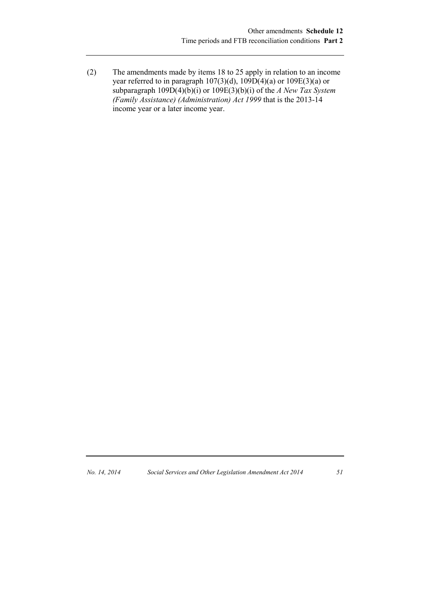(2) The amendments made by items 18 to 25 apply in relation to an income year referred to in paragraph  $107(3)(d)$ ,  $109D(4)(a)$  or  $109E(3)(a)$  or subparagraph 109D(4)(b)(i) or 109E(3)(b)(i) of the *A New Tax System (Family Assistance) (Administration) Act 1999* that is the 2013-14 income year or a later income year.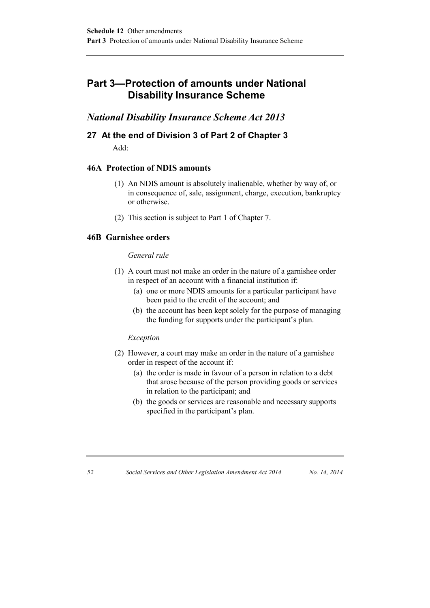## **Part 3—Protection of amounts under National Disability Insurance Scheme**

### *National Disability Insurance Scheme Act 2013*

### **27 At the end of Division 3 of Part 2 of Chapter 3** Add:

#### **46A Protection of NDIS amounts**

- (1) An NDIS amount is absolutely inalienable, whether by way of, or in consequence of, sale, assignment, charge, execution, bankruptcy or otherwise.
- (2) This section is subject to Part 1 of Chapter 7.

#### **46B Garnishee orders**

#### *General rule*

- (1) A court must not make an order in the nature of a garnishee order in respect of an account with a financial institution if:
	- (a) one or more NDIS amounts for a particular participant have been paid to the credit of the account; and
	- (b) the account has been kept solely for the purpose of managing the funding for supports under the participant's plan.

#### *Exception*

- (2) However, a court may make an order in the nature of a garnishee order in respect of the account if:
	- (a) the order is made in favour of a person in relation to a debt that arose because of the person providing goods or services in relation to the participant; and
	- (b) the goods or services are reasonable and necessary supports specified in the participant's plan.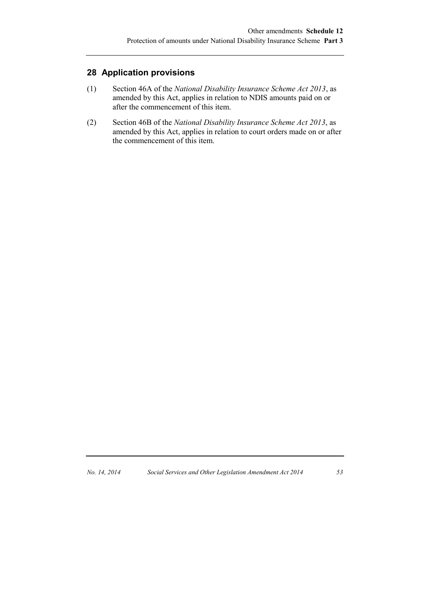### **28 Application provisions**

- (1) Section 46A of the *National Disability Insurance Scheme Act 2013*, as amended by this Act, applies in relation to NDIS amounts paid on or after the commencement of this item.
- (2) Section 46B of the *National Disability Insurance Scheme Act 2013*, as amended by this Act, applies in relation to court orders made on or after the commencement of this item.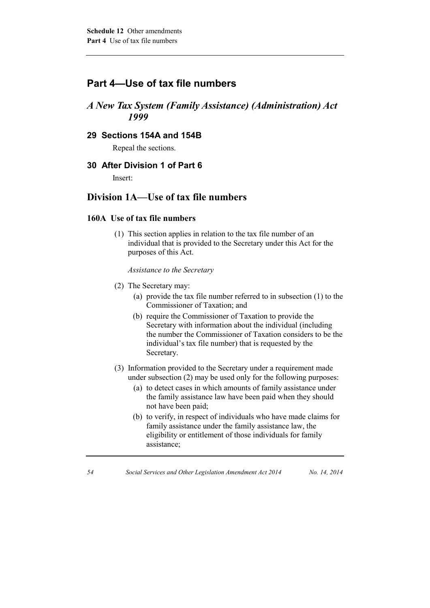### **Part 4—Use of tax file numbers**

### *A New Tax System (Family Assistance) (Administration) Act 1999*

#### **29 Sections 154A and 154B**

Repeal the sections.

### **30 After Division 1 of Part 6**

Insert:

### **Division 1A—Use of tax file numbers**

#### **160A Use of tax file numbers**

(1) This section applies in relation to the tax file number of an individual that is provided to the Secretary under this Act for the purposes of this Act.

*Assistance to the Secretary*

- (2) The Secretary may:
	- (a) provide the tax file number referred to in subsection (1) to the Commissioner of Taxation; and
	- (b) require the Commissioner of Taxation to provide the Secretary with information about the individual (including the number the Commissioner of Taxation considers to be the individual's tax file number) that is requested by the Secretary.
- (3) Information provided to the Secretary under a requirement made under subsection (2) may be used only for the following purposes:
	- (a) to detect cases in which amounts of family assistance under the family assistance law have been paid when they should not have been paid;
	- (b) to verify, in respect of individuals who have made claims for family assistance under the family assistance law, the eligibility or entitlement of those individuals for family assistance;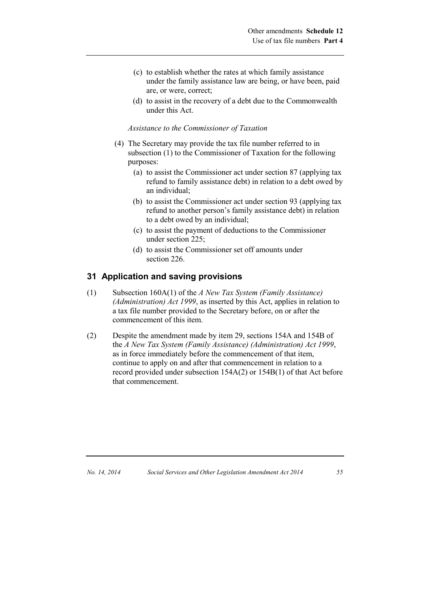- (c) to establish whether the rates at which family assistance under the family assistance law are being, or have been, paid are, or were, correct;
- (d) to assist in the recovery of a debt due to the Commonwealth under this Act.

#### *Assistance to the Commissioner of Taxation*

- (4) The Secretary may provide the tax file number referred to in subsection (1) to the Commissioner of Taxation for the following purposes:
	- (a) to assist the Commissioner act under section 87 (applying tax refund to family assistance debt) in relation to a debt owed by an individual;
	- (b) to assist the Commissioner act under section 93 (applying tax refund to another person's family assistance debt) in relation to a debt owed by an individual;
	- (c) to assist the payment of deductions to the Commissioner under section 225;
	- (d) to assist the Commissioner set off amounts under section 226.

#### **31 Application and saving provisions**

- (1) Subsection 160A(1) of the *A New Tax System (Family Assistance) (Administration) Act 1999*, as inserted by this Act, applies in relation to a tax file number provided to the Secretary before, on or after the commencement of this item.
- (2) Despite the amendment made by item 29, sections 154A and 154B of the *A New Tax System (Family Assistance) (Administration) Act 1999*, as in force immediately before the commencement of that item, continue to apply on and after that commencement in relation to a record provided under subsection 154A(2) or 154B(1) of that Act before that commencement.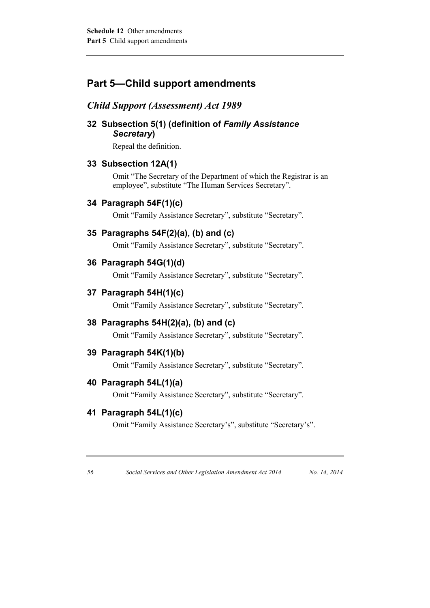## **Part 5—Child support amendments**

### *Child Support (Assessment) Act 1989*

### **32 Subsection 5(1) (definition of** *Family Assistance Secretary***)**

Repeal the definition.

### **33 Subsection 12A(1)**

Omit "The Secretary of the Department of which the Registrar is an employee", substitute "The Human Services Secretary".

### **34 Paragraph 54F(1)(c)**

Omit "Family Assistance Secretary", substitute "Secretary".

### **35 Paragraphs 54F(2)(a), (b) and (c)**

Omit "Family Assistance Secretary", substitute "Secretary".

### **36 Paragraph 54G(1)(d)**

Omit "Family Assistance Secretary", substitute "Secretary".

#### **37 Paragraph 54H(1)(c)**

Omit "Family Assistance Secretary", substitute "Secretary".

#### **38 Paragraphs 54H(2)(a), (b) and (c)**

Omit "Family Assistance Secretary", substitute "Secretary".

#### **39 Paragraph 54K(1)(b)**

Omit "Family Assistance Secretary", substitute "Secretary".

#### **40 Paragraph 54L(1)(a)**

Omit "Family Assistance Secretary", substitute "Secretary".

### **41 Paragraph 54L(1)(c)**

Omit "Family Assistance Secretary's", substitute "Secretary's".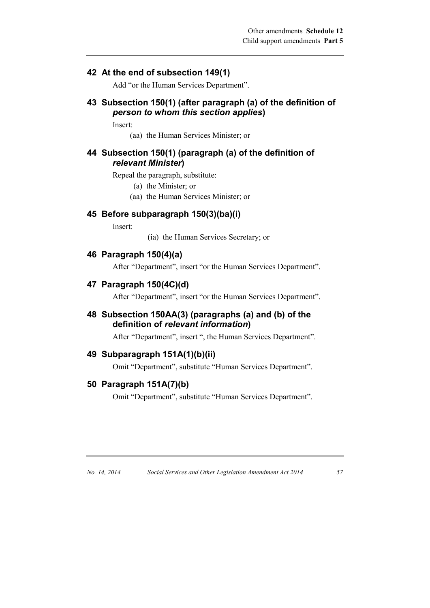### **42 At the end of subsection 149(1)**

Add "or the Human Services Department".

### **43 Subsection 150(1) (after paragraph (a) of the definition of**  *person to whom this section applies***)**

Insert:

(aa) the Human Services Minister; or

### **44 Subsection 150(1) (paragraph (a) of the definition of**  *relevant Minister***)**

Repeal the paragraph, substitute:

- (a) the Minister; or
- (aa) the Human Services Minister; or

### **45 Before subparagraph 150(3)(ba)(i)**

Insert:

(ia) the Human Services Secretary; or

### **46 Paragraph 150(4)(a)**

After "Department", insert "or the Human Services Department".

### **47 Paragraph 150(4C)(d)**

After "Department", insert "or the Human Services Department".

**48 Subsection 150AA(3) (paragraphs (a) and (b) of the definition of** *relevant information***)**

After "Department", insert ", the Human Services Department".

#### **49 Subparagraph 151A(1)(b)(ii)**

Omit "Department", substitute "Human Services Department".

### **50 Paragraph 151A(7)(b)**

Omit "Department", substitute "Human Services Department".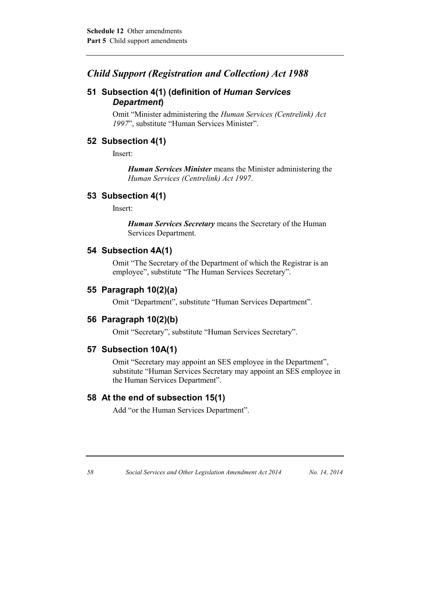### *Child Support (Registration and Collection) Act 1988*

### **51 Subsection 4(1) (definition of** *Human Services Department***)**

Omit "Minister administering the *Human Services (Centrelink) Act 1997*", substitute "Human Services Minister".

### **52 Subsection 4(1)**

Insert:

*Human Services Minister* means the Minister administering the *Human Services (Centrelink) Act 1997*.

#### **53 Subsection 4(1)**

Insert:

*Human Services Secretary* means the Secretary of the Human Services Department.

#### **54 Subsection 4A(1)**

Omit "The Secretary of the Department of which the Registrar is an employee", substitute "The Human Services Secretary".

### **55 Paragraph 10(2)(a)**

Omit "Department", substitute "Human Services Department".

### **56 Paragraph 10(2)(b)**

Omit "Secretary", substitute "Human Services Secretary".

#### **57 Subsection 10A(1)**

Omit "Secretary may appoint an SES employee in the Department", substitute "Human Services Secretary may appoint an SES employee in the Human Services Department".

#### **58 At the end of subsection 15(1)**

Add "or the Human Services Department".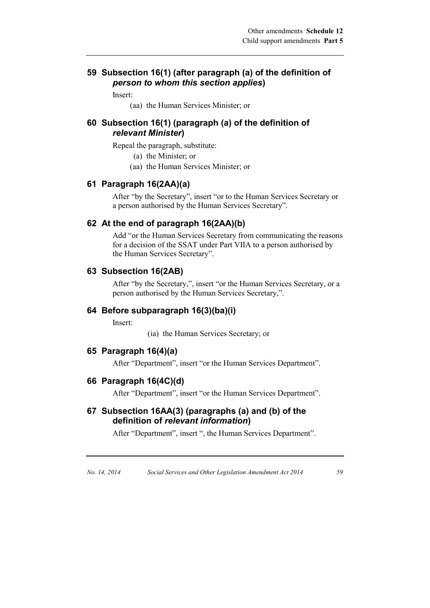#### **59 Subsection 16(1) (after paragraph (a) of the definition of**  *person to whom this section applies***)**

Insert:

(aa) the Human Services Minister; or

#### **60 Subsection 16(1) (paragraph (a) of the definition of**  *relevant Minister***)**

Repeal the paragraph, substitute:

- (a) the Minister; or
- (aa) the Human Services Minister; or

#### **61 Paragraph 16(2AA)(a)**

After "by the Secretary", insert "or to the Human Services Secretary or a person authorised by the Human Services Secretary".

#### **62 At the end of paragraph 16(2AA)(b)**

Add "or the Human Services Secretary from communicating the reasons for a decision of the SSAT under Part VIIA to a person authorised by the Human Services Secretary".

#### **63 Subsection 16(2AB)**

After "by the Secretary,", insert "or the Human Services Secretary, or a person authorised by the Human Services Secretary,".

#### **64 Before subparagraph 16(3)(ba)(i)**

Insert:

(ia) the Human Services Secretary; or

#### **65 Paragraph 16(4)(a)**

After "Department", insert "or the Human Services Department".

#### **66 Paragraph 16(4C)(d)**

After "Department", insert "or the Human Services Department".

### **67 Subsection 16AA(3) (paragraphs (a) and (b) of the definition of** *relevant information***)**

After "Department", insert ", the Human Services Department".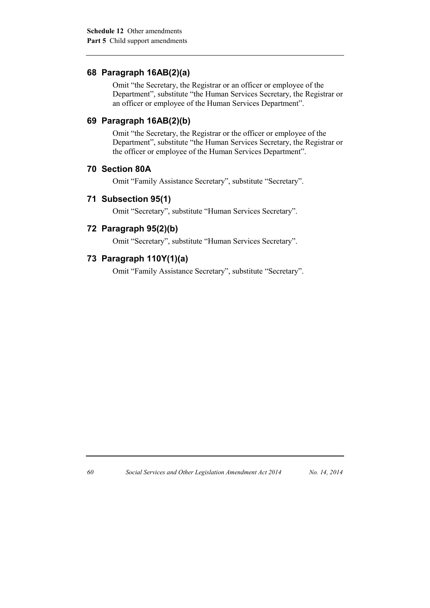### **68 Paragraph 16AB(2)(a)**

Omit "the Secretary, the Registrar or an officer or employee of the Department", substitute "the Human Services Secretary, the Registrar or an officer or employee of the Human Services Department".

### **69 Paragraph 16AB(2)(b)**

Omit "the Secretary, the Registrar or the officer or employee of the Department", substitute "the Human Services Secretary, the Registrar or the officer or employee of the Human Services Department".

### **70 Section 80A**

Omit "Family Assistance Secretary", substitute "Secretary".

#### **71 Subsection 95(1)**

Omit "Secretary", substitute "Human Services Secretary".

#### **72 Paragraph 95(2)(b)**

Omit "Secretary", substitute "Human Services Secretary".

#### **73 Paragraph 110Y(1)(a)**

Omit "Family Assistance Secretary", substitute "Secretary".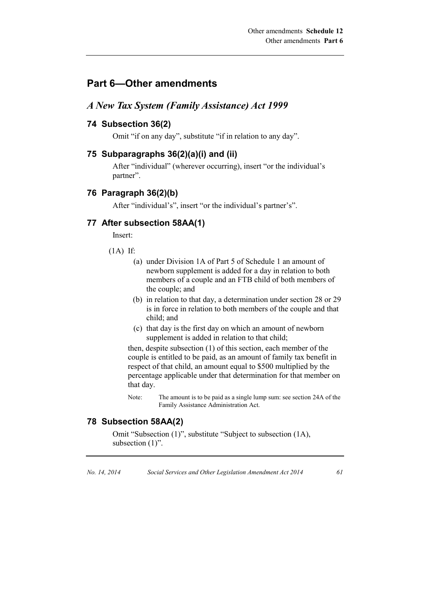### **Part 6—Other amendments**

#### *A New Tax System (Family Assistance) Act 1999*

#### **74 Subsection 36(2)**

Omit "if on any day", substitute "if in relation to any day".

#### **75 Subparagraphs 36(2)(a)(i) and (ii)**

After "individual" (wherever occurring), insert "or the individual's partner".

#### **76 Paragraph 36(2)(b)**

After "individual's", insert "or the individual's partner's".

#### **77 After subsection 58AA(1)**

Insert:

- (1A) If:
	- (a) under Division 1A of Part 5 of Schedule 1 an amount of newborn supplement is added for a day in relation to both members of a couple and an FTB child of both members of the couple; and
	- (b) in relation to that day, a determination under section 28 or 29 is in force in relation to both members of the couple and that child; and
	- (c) that day is the first day on which an amount of newborn supplement is added in relation to that child;

then, despite subsection (1) of this section, each member of the couple is entitled to be paid, as an amount of family tax benefit in respect of that child, an amount equal to \$500 multiplied by the percentage applicable under that determination for that member on that day.

Note: The amount is to be paid as a single lump sum: see section 24A of the Family Assistance Administration Act.

#### **78 Subsection 58AA(2)**

Omit "Subsection (1)", substitute "Subject to subsection (1A), subsection  $(1)$ ".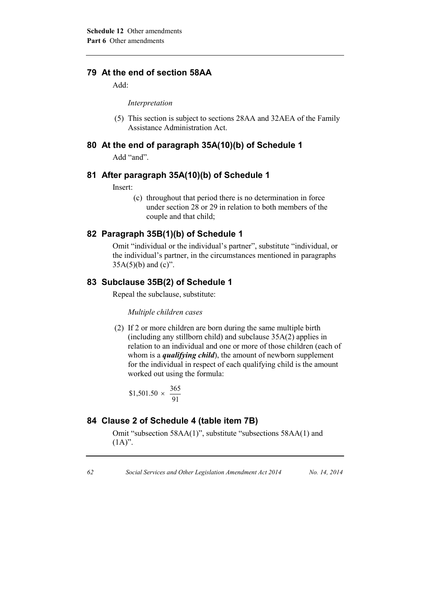### **79 At the end of section 58AA**

Add:

*Interpretation*

(5) This section is subject to sections 28AA and 32AEA of the Family Assistance Administration Act.

### **80 At the end of paragraph 35A(10)(b) of Schedule 1**

Add "and".

### **81 After paragraph 35A(10)(b) of Schedule 1**

Insert:

(c) throughout that period there is no determination in force under section 28 or 29 in relation to both members of the couple and that child;

### **82 Paragraph 35B(1)(b) of Schedule 1**

Omit "individual or the individual's partner", substitute "individual, or the individual's partner, in the circumstances mentioned in paragraphs  $35A(5)(b)$  and  $(c)$ ".

### **83 Subclause 35B(2) of Schedule 1**

Repeal the subclause, substitute:

#### *Multiple children cases*

(2) If 2 or more children are born during the same multiple birth (including any stillborn child) and subclause 35A(2) applies in relation to an individual and one or more of those children (each of whom is a *qualifying child*), the amount of newborn supplement for the individual in respect of each qualifying child is the amount worked out using the formula:

\$1,501.50 
$$
\times \frac{365}{91}
$$

### **84 Clause 2 of Schedule 4 (table item 7B)**

Omit "subsection 58AA(1)", substitute "subsections 58AA(1) and  $(1A)$ ".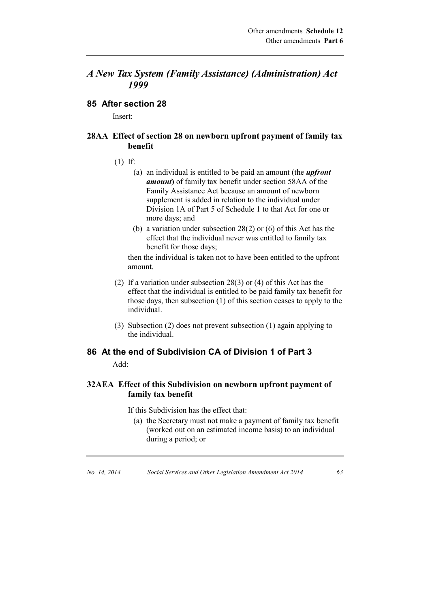### *A New Tax System (Family Assistance) (Administration) Act 1999*

#### **85 After section 28**

Insert:

### **28AA Effect of section 28 on newborn upfront payment of family tax benefit**

- (1) If:
	- (a) an individual is entitled to be paid an amount (the *upfront amount***)** of family tax benefit under section 58AA of the Family Assistance Act because an amount of newborn supplement is added in relation to the individual under Division 1A of Part 5 of Schedule 1 to that Act for one or more days; and
	- (b) a variation under subsection 28(2) or (6) of this Act has the effect that the individual never was entitled to family tax benefit for those days;

then the individual is taken not to have been entitled to the upfront amount.

- (2) If a variation under subsection 28(3) or (4) of this Act has the effect that the individual is entitled to be paid family tax benefit for those days, then subsection (1) of this section ceases to apply to the individual.
- (3) Subsection (2) does not prevent subsection (1) again applying to the individual.

# **86 At the end of Subdivision CA of Division 1 of Part 3**

Add:

### **32AEA Effect of this Subdivision on newborn upfront payment of family tax benefit**

If this Subdivision has the effect that:

(a) the Secretary must not make a payment of family tax benefit (worked out on an estimated income basis) to an individual during a period; or